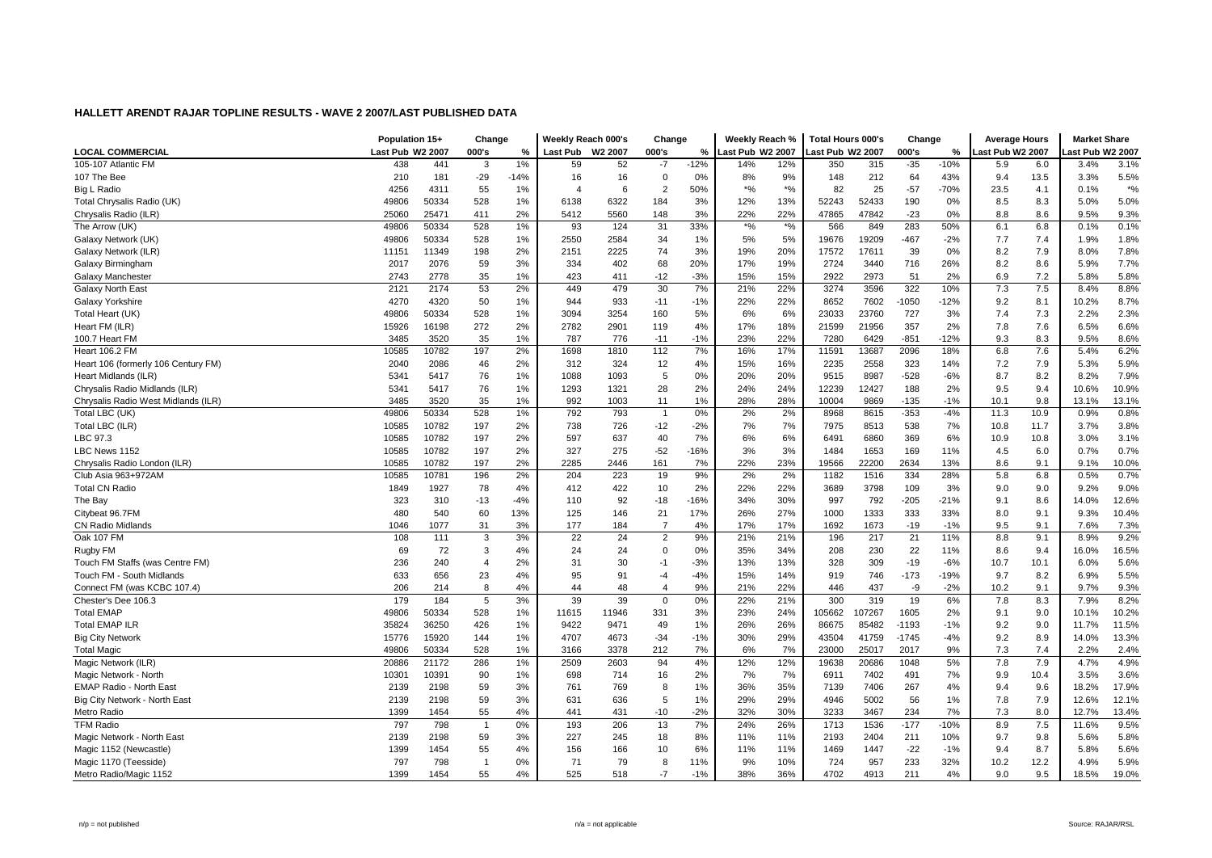|                                     | Population 15+   |       | Change         |        | Weekly Reach 000's |       | Change         |        | Weekly Reach %                   |                                               | <b>Total Hours 000's</b> |        | Change  |        | <b>Average Hours</b> |      | <b>Market Share</b> |        |
|-------------------------------------|------------------|-------|----------------|--------|--------------------|-------|----------------|--------|----------------------------------|-----------------------------------------------|--------------------------|--------|---------|--------|----------------------|------|---------------------|--------|
| LOCAL COMMERCIAL                    | Last Pub W2 2007 |       | 000's          | %      | Last Pub W2 2007   |       | 000's          | %      | Last Pub W2 2007                 |                                               | ast Pub W2 2007          |        | 000's   | %      | Last Pub W2 2007     |      | ast Pub W2 2007     |        |
| 105-107 Atlantic FM                 | 438              | 441   | 3              | 1%     | 59                 | 52    | $-7$           | $-12%$ | 14%                              | 12%                                           | 350                      | 315    | $-35$   | $-10%$ | 5.9                  | 6.0  | 3.4%                | 3.1%   |
| 107 The Bee                         | 210              | 181   | $-29$          | $-14%$ | 16                 | 16    | $\mathbf 0$    | 0%     | 8%                               | 9%                                            | 148                      | 212    | 64      | 43%    | 9.4                  | 13.5 | 3.3%                | 5.5%   |
| Big L Radio                         | 4256             | 4311  | 55             | 1%     | 4                  | 6     | $\overline{2}$ | 50%    | $\boldsymbol{^{*0}}\!/\!\!\circ$ | $*$ %                                         | 82                       | 25     | $-57$   | -70%   | 23.5                 | 4.1  | 0.1%                | $*9/6$ |
| Total Chrysalis Radio (UK)          | 49806            | 50334 | 528            | 1%     | 6138               | 6322  | 184            | 3%     | 12%                              | 13%                                           | 52243                    | 52433  | 190     | 0%     | 8.5                  | 8.3  | 5.0%                | 5.0%   |
| Chrysalis Radio (ILR)               | 25060            | 25471 | 411            | 2%     | 5412               | 5560  | 148            | 3%     | 22%                              | 22%                                           | 47865                    | 47842  | $-23$   | 0%     | 8.8                  | 8.6  | 9.5%                | 9.3%   |
| The Arrow (UK)                      | 49806            | 50334 | 528            | 1%     | 93                 | 124   | 31             | 33%    | $*$ %                            | $\boldsymbol{^{*0}}\!\mathstrut_{\mathbf{0}}$ | 566                      | 849    | 283     | 50%    | 6.1                  | 6.8  | 0.1%                | 0.1%   |
| Galaxy Network (UK)                 | 49806            | 50334 | 528            | 1%     | 2550               | 2584  | 34             | 1%     | 5%                               | 5%                                            | 19676                    | 19209  | $-467$  | $-2%$  | 7.7                  | 7.4  | 1.9%                | 1.8%   |
| Galaxy Network (ILR)                | 11151            | 11349 | 198            | 2%     | 2151               | 2225  | 74             | 3%     | 19%                              | 20%                                           | 17572                    | 17611  | 39      | $0\%$  | 8.2                  | 7.9  | 8.0%                | 7.8%   |
| Galaxy Birmingham                   | 2017             | 2076  | 59             | 3%     | 334                | 402   | 68             | 20%    | 17%                              | 19%                                           | 2724                     | 3440   | 716     | 26%    | 8.2                  | 8.6  | 5.9%                | 7.7%   |
| Galaxy Manchester                   | 2743             | 2778  | 35             | 1%     | 423                | 411   | $-12$          | $-3%$  | 15%                              | 15%                                           | 2922                     | 2973   | 51      | 2%     | 6.9                  | 7.2  | 5.8%                | 5.8%   |
| Galaxy North East                   | 2121             | 2174  | 53             | 2%     | 449                | 479   | 30             | 7%     | 21%                              | 22%                                           | 3274                     | 3596   | 322     | 10%    | 7.3                  | 7.5  | 8.4%                | 8.8%   |
| Galaxy Yorkshire                    | 4270             | 4320  | 50             | 1%     | 944                | 933   | $-11$          | $-1%$  | 22%                              | 22%                                           | 8652                     | 7602   | 1050    | $-12%$ | 9.2                  | 8.1  | 10.2%               | 8.7%   |
| Total Heart (UK)                    | 49806            | 50334 | 528            | 1%     | 3094               | 3254  | 160            | 5%     | 6%                               | 6%                                            | 23033                    | 23760  | 727     | 3%     | 7.4                  | 7.3  | 2.2%                | 2.3%   |
| Heart FM (ILR)                      | 15926            | 16198 | 272            | 2%     | 2782               | 2901  | 119            | 4%     | 17%                              | 18%                                           | 21599                    | 21956  | 357     | 2%     | 7.8                  | 7.6  | 6.5%                | 6.6%   |
| 100.7 Heart FM                      | 3485             | 3520  | 35             | 1%     | 787                | 776   | $-11$          | $-1%$  | 23%                              | 22%                                           | 7280                     | 6429   | $-851$  | $-12%$ | 9.3                  | 8.3  | 9.5%                | 8.6%   |
| <b>Heart 106.2 FM</b>               | 10585            | 10782 | 197            | 2%     | 1698               | 1810  | 112            | 7%     | 16%                              | 17%                                           | 11591                    | 13687  | 2096    | 18%    | 6.8                  | 7.6  | 5.4%                | 6.2%   |
| Heart 106 (formerly 106 Century FM) | 2040             | 2086  | 46             | 2%     | 312                | 324   | 12             | 4%     | 15%                              | 16%                                           | 2235                     | 2558   | 323     | 14%    | 7.2                  | 7.9  | 5.3%                | 5.9%   |
| Heart Midlands (ILR)                | 5341             | 5417  | 76             | 1%     | 1088               | 1093  | 5              | 0%     | 20%                              | 20%                                           | 9515                     | 8987   | $-528$  | $-6%$  | 8.7                  | 8.2  | 8.2%                | 7.9%   |
| Chrysalis Radio Midlands (ILR)      | 5341             | 5417  | 76             | 1%     | 1293               | 1321  | 28             | 2%     | 24%                              | 24%                                           | 12239                    | 12427  | 188     | 2%     | 9.5                  | 9.4  | 10.6%               | 10.9%  |
| Chrysalis Radio West Midlands (ILR) | 3485             | 3520  | 35             | 1%     | 992                | 1003  | 11             | 1%     | 28%                              | 28%                                           | 10004                    | 9869   | $-135$  | $-1%$  | 10.1                 | 9.8  | 13.1%               | 13.1%  |
| Total LBC (UK)                      | 49806            | 50334 | 528            | 1%     | 792                | 793   | $\overline{1}$ | 0%     | 2%                               | 2%                                            | 8968                     | 8615   | $-353$  | $-4%$  | 11.3                 | 10.9 | 0.9%                | 0.8%   |
| Total LBC (ILR)                     | 10585            | 10782 | 197            | 2%     | 738                | 726   | $-12$          | $-2%$  | 7%                               | 7%                                            | 7975                     | 8513   | 538     | 7%     | 10.8                 | 11.7 | 3.7%                | 3.8%   |
| LBC 97.3                            | 10585            | 10782 | 197            | 2%     | 597                | 637   | 40             | 7%     | 6%                               | 6%                                            | 6491                     | 6860   | 369     | 6%     | 10.9                 | 10.8 | 3.0%                | 3.1%   |
| LBC News 1152                       | 10585            | 10782 | 197            | 2%     | 327                | 275   | $-52$          | $-16%$ | 3%                               | 3%                                            | 1484                     | 1653   | 169     | 11%    | 4.5                  | 6.0  | 0.7%                | 0.7%   |
| Chrysalis Radio London (ILR)        | 10585            | 10782 | 197            | 2%     | 2285               | 2446  | 161            | 7%     | 22%                              | 23%                                           | 19566                    | 22200  | 2634    | 13%    | 8.6                  | 9.1  | 9.1%                | 10.0%  |
| Club Asia 963+972AM                 | 10585            | 10781 | 196            | 2%     | 204                | 223   | 19             | 9%     | 2%                               | 2%                                            | 1182                     | 1516   | 334     | 28%    | 5.8                  | 6.8  | 0.5%                | 0.7%   |
| <b>Total CN Radio</b>               | 1849             | 1927  | 78             | 4%     | 412                | 422   | 10             | 2%     | 22%                              | 22%                                           | 3689                     | 3798   | 109     | 3%     | 9.0                  | 9.0  | 9.2%                | 9.0%   |
| The Bay                             | 323              | 310   | $-13$          | $-4%$  | 110                | 92    | $-18$          | $-16%$ | 34%                              | 30%                                           | 997                      | 792    | $-205$  | $-21%$ | 9.1                  | 8.6  | 14.0%               | 12.6%  |
| Citybeat 96.7FM                     | 480              | 540   | 60             | 13%    | 125                | 146   | 21             | 17%    | 26%                              | 27%                                           | 1000                     | 1333   | 333     | 33%    | 8.0                  | 9.1  | 9.3%                | 10.4%  |
| <b>CN Radio Midlands</b>            | 1046             | 1077  | 31             | 3%     | 177                | 184   | $\overline{7}$ | 4%     | 17%                              | 17%                                           | 1692                     | 1673   | $-19$   | $-1%$  | 9.5                  | 9.1  | 7.6%                | 7.3%   |
| Oak 107 FM                          | 108              | 111   | 3              | 3%     | 22                 | 24    | $\overline{2}$ | 9%     | 21%                              | 21%                                           | 196                      | 217    | 21      | 11%    | 8.8                  | 9.1  | 8.9%                | 9.2%   |
| Rugby FM                            | 69               | 72    | 3              | 4%     | 24                 | 24    | $\Omega$       | 0%     | 35%                              | 34%                                           | 208                      | 230    | 22      | 11%    | 8.6                  | 9.4  | 16.0%               | 16.5%  |
| Touch FM Staffs (was Centre FM)     | 236              | 240   | $\overline{4}$ | 2%     | 31                 | 30    | $-1$           | $-3%$  | 13%                              | 13%                                           | 328                      | 309    | $-19$   | $-6%$  | 10.7                 | 10.1 | 6.0%                | 5.6%   |
| Touch FM - South Midlands           | 633              | 656   | 23             | 4%     | 95                 | 91    | -4             | $-4%$  | 15%                              | 14%                                           | 919                      | 746    | $-173$  | $-19%$ | 9.7                  | 8.2  | 6.9%                | 5.5%   |
| Connect FM (was KCBC 107.4)         | 206              | 214   | 8              | 4%     | 44                 | 48    | $\overline{4}$ | 9%     | 21%                              | 22%                                           | 446                      | 437    | -9      | $-2%$  | 10.2                 | 9.1  | 9.7%                | 9.3%   |
| Chester's Dee 106.3                 | 179              | 184   | $\overline{5}$ | 3%     | 39                 | 39    | $\Omega$       | 0%     | 22%                              | 21%                                           | 300                      | 319    | 19      | 6%     | 7.8                  | 8.3  | 7.9%                | 8.2%   |
| <b>Total EMAP</b>                   | 49806            | 50334 | 528            | 1%     | 11615              | 11946 | 331            | 3%     | 23%                              | 24%                                           | 105662                   | 107267 | 1605    | 2%     | 9.1                  | 9.0  | 10.1%               | 10.2%  |
| <b>Total EMAP ILR</b>               | 35824            | 36250 | 426            | 1%     | 9422               | 9471  | 49             | 1%     | 26%                              | 26%                                           | 86675                    | 85482  | $-1193$ | $-1%$  | 9.2                  | 9.0  | 11.7%               | 11.5%  |
| <b>Big City Network</b>             | 15776            | 15920 | 144            | 1%     | 4707               | 4673  | $-34$          | $-1%$  | 30%                              | 29%                                           | 43504                    | 41759  | $-1745$ | $-4%$  | 9.2                  | 8.9  | 14.0%               | 13.3%  |
| <b>Total Magic</b>                  | 49806            | 50334 | 528            | 1%     | 3166               | 3378  | 212            | 7%     | 6%                               | 7%                                            | 23000                    | 25017  | 2017    | 9%     | 7.3                  | 7.4  | 2.2%                | 2.4%   |
| Magic Network (ILR)                 | 20886            | 21172 | 286            | 1%     | 2509               | 2603  | 94             | 4%     | 12%                              | 12%                                           | 19638                    | 20686  | 1048    | 5%     | 7.8                  | 7.9  | 4.7%                | 4.9%   |
| Magic Network - North               | 10301            | 10391 | 90             | 1%     | 698                | 714   | 16             | 2%     | 7%                               | 7%                                            | 6911                     | 7402   | 491     | 7%     | 9.9                  | 10.4 | 3.5%                | 3.6%   |
| EMAP Radio - North East             | 2139             | 2198  | 59             | 3%     | 761                | 769   | 8              | 1%     | 36%                              | 35%                                           | 7139                     | 7406   | 267     | 4%     | 9.4                  | 9.6  | 18.2%               | 17.9%  |
| Big City Network - North East       | 2139             | 2198  | 59             | 3%     | 631                | 636   | 5              | 1%     | 29%                              | 29%                                           | 4946                     | 5002   | 56      | 1%     | 7.8                  | 7.9  | 12.6%               | 12.1%  |
| Metro Radio                         | 1399             | 1454  | 55             | 4%     | 441                | 431   | $-10$          | $-2%$  | 32%                              | 30%                                           | 3233                     | 3467   | 234     | 7%     | 7.3                  | 8.0  | 12.7%               | 13.4%  |
| <b>TFM Radio</b>                    | 797              | 798   | -1             | 0%     | 193                | 206   | 13             | 7%     | 24%                              | 26%                                           | 1713                     | 1536   | $-177$  | $-10%$ | 8.9                  | 7.5  | 11.6%               | 9.5%   |
| Magic Network - North East          | 2139             | 2198  | 59             | 3%     | 227                | 245   | 18             | 8%     | 11%                              | 11%                                           | 2193                     | 2404   | 211     | 10%    | 9.7                  | 9.8  | 5.6%                | 5.8%   |
| Magic 1152 (Newcastle)              | 1399             | 1454  | 55             | 4%     | 156                | 166   | 10             | 6%     | 11%                              | 11%                                           | 1469                     | 1447   | $-22$   | $-1%$  | 9.4                  | 8.7  | 5.8%                | 5.6%   |
| Magic 1170 (Teesside)               | 797              | 798   | $\overline{1}$ | 0%     | 71                 | 79    | 8              | 11%    | 9%                               | 10%                                           | 724                      | 957    | 233     | 32%    | 10.2                 | 12.2 | 4.9%                | 5.9%   |
| Metro Radio/Magic 1152              | 1399             | 1454  | 55             | 4%     | 525                | 518   | $-7$           | $-1%$  | 38%                              | 36%                                           | 4702                     | 4913   | 211     | 4%     | 9.0                  | 9.5  | 18.5%               | 19.0%  |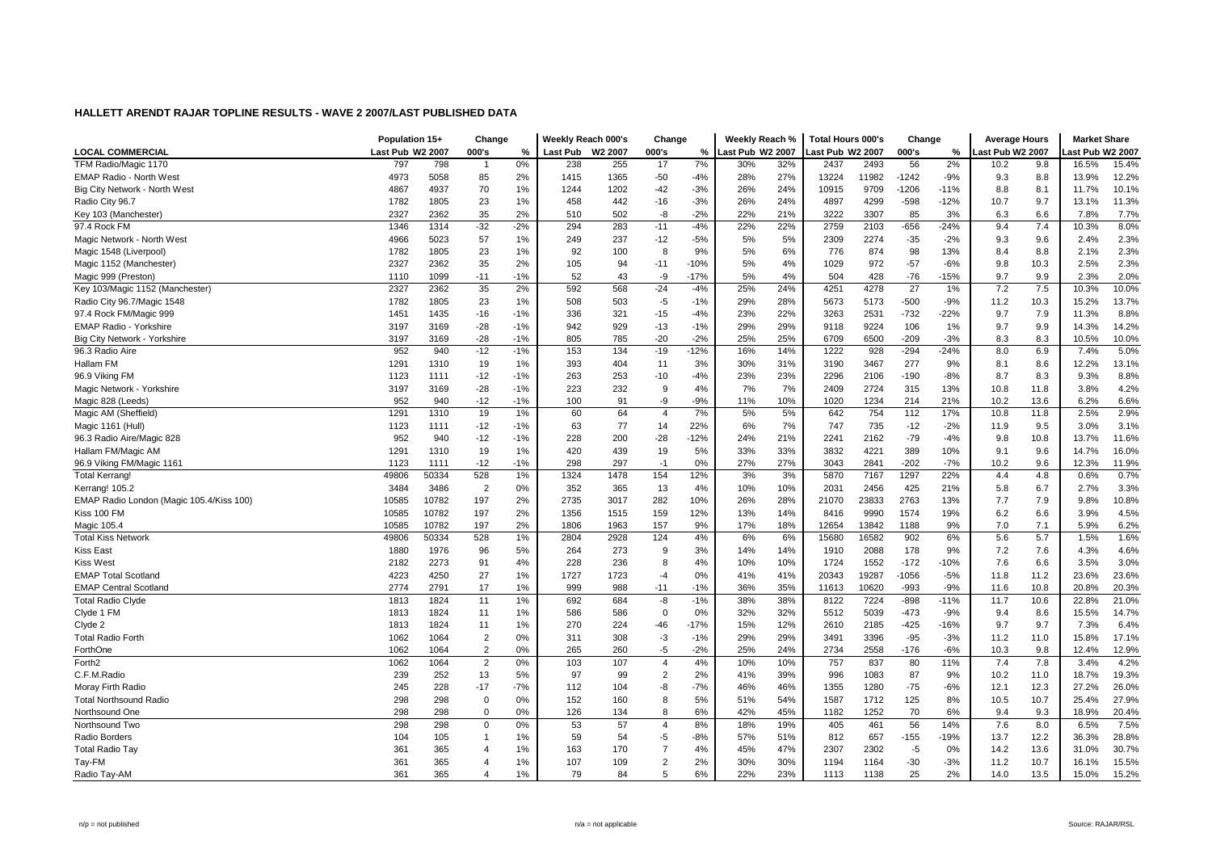|                                          | Population 15+   |       | Change         |       | Weekly Reach 000's |         | Change         |        | Weekly Reach %   |     | <b>Total Hours 000's</b> |       | Change  |        | <b>Average Hours</b> |      | <b>Market Share</b> |                 |
|------------------------------------------|------------------|-------|----------------|-------|--------------------|---------|----------------|--------|------------------|-----|--------------------------|-------|---------|--------|----------------------|------|---------------------|-----------------|
| LOCAL COMMERCIAL                         | Last Pub W2 2007 |       | 000's          | %     | Last Pub           | W2 2007 | 000's          | ℅      | Last Pub W2 2007 |     | ast Pub W2 2007.         |       | 000's   | %      | ast Pub W2 2007      |      |                     | ast Pub W2 2007 |
| TFM Radio/Magic 1170                     | 797              | 798   | -1             | 0%    | 238                | 255     | 17             | 7%     | 30%              | 32% | 2437                     | 2493  | 56      | 2%     | 10.2                 | 9.8  | 16.5%               | 15.4%           |
| <b>EMAP Radio - North West</b>           | 4973             | 5058  | 85             | 2%    | 1415               | 1365    | $-50$          | $-4%$  | 28%              | 27% | 13224                    | 11982 | $-1242$ | $-9%$  | 9.3                  | 8.8  | 13.9%               | 12.2%           |
| Big City Network - North West            | 4867             | 4937  | 70             | 1%    | 1244               | 1202    | -42            | $-3%$  | 26%              | 24% | 10915                    | 9709  | $-1206$ | $-11%$ | 8.8                  | 8.1  | 11.7%               | 10.1%           |
| Radio City 96.7                          | 1782             | 1805  | 23             | 1%    | 458                | 442     | $-16$          | $-3%$  | 26%              | 24% | 4897                     | 4299  | $-598$  | $-12%$ | 10.7                 | 9.7  | 13.1%               | 11.3%           |
| Key 103 (Manchester)                     | 2327             | 2362  | 35             | 2%    | 510                | 502     | -8             | $-2%$  | 22%              | 21% | 3222                     | 3307  | 85      | 3%     | 6.3                  | 6.6  | 7.8%                | 7.7%            |
| 97.4 Rock FM                             | 1346             | 1314  | $-32$          | $-2%$ | 294                | 283     | $-11$          | $-4%$  | 22%              | 22% | 2759                     | 2103  | $-656$  | $-24%$ | 9.4                  | 7.4  | 10.3%               | 8.0%            |
| Magic Network - North West               | 4966             | 5023  | 57             | 1%    | 249                | 237     | $-12$          | $-5%$  | 5%               | 5%  | 2309                     | 2274  | $-35$   | $-2%$  | 9.3                  | 9.6  | 2.4%                | 2.3%            |
| Magic 1548 (Liverpool                    | 1782             | 1805  | 23             | 1%    | 92                 | 100     | 8              | 9%     | 5%               | 6%  | 776                      | 874   | 98      | 13%    | 8.4                  | 8.8  | 2.1%                | 2.3%            |
| Magic 1152 (Manchester)                  | 2327             | 2362  | 35             | 2%    | 105                | 94      | $-11$          | $-10%$ | 5%               | 4%  | 1029                     | 972   | $-57$   | $-6%$  | 9.8                  | 10.3 | 2.5%                | 2.3%            |
| Magic 999 (Preston)                      | 1110             | 1099  | $-11$          | $-1%$ | 52                 | 43      | -9             | $-17%$ | 5%               | 4%  | 504                      | 428   | $-76$   | $-15%$ | 9.7                  | 9.9  | 2.3%                | 2.0%            |
| Key 103/Magic 1152 (Manchester)          | 2327             | 2362  | 35             | 2%    | 592                | 568     | $-24$          | $-4%$  | 25%              | 24% | 4251                     | 4278  | 27      | 1%     | 7.2                  | 7.5  | 10.3%               | 10.0%           |
| Radio City 96.7/Magic 1548               | 1782             | 1805  | 23             | 1%    | 508                | 503     | $-5$           | $-1%$  | 29%              | 28% | 5673                     | 5173  | $-500$  | $-9%$  | 11.2                 | 10.3 | 15.2%               | 13.7%           |
| 97.4 Rock FM/Magic 999                   | 1451             | 1435  | $-16$          | $-1%$ | 336                | 321     | $-15$          | $-4%$  | 23%              | 22% | 3263                     | 2531  | $-732$  | $-22%$ | 9.7                  | 7.9  | 11.3%               | 8.8%            |
| <b>EMAP Radio - Yorkshire</b>            | 3197             | 3169  | $-28$          | $-1%$ | 942                | 929     | $-13$          | $-1%$  | 29%              | 29% | 9118                     | 9224  | 106     | 1%     | 9.7                  | 9.9  | 14.3%               | 14.2%           |
| Big City Network - Yorkshire             | 3197             | 3169  | $-28$          | $-1%$ | 805                | 785     | $-20$          | $-2%$  | 25%              | 25% | 6709                     | 6500  | $-209$  | $-3%$  | 8.3                  | 8.3  | 10.5%               | 10.0%           |
| 96.3 Radio Aire                          | 952              | 940   | $-12$          | $-1%$ | 153                | 134     | $-19$          | $-12%$ | 16%              | 14% | 1222                     | 928   | $-294$  | $-24%$ | 8.0                  | 6.9  | 7.4%                | 5.0%            |
| Hallam FM                                | 1291             | 1310  | 19             | 1%    | 393                | 404     | 11             | 3%     | 30%              | 31% | 3190                     | 3467  | 277     | 9%     | 8.1                  | 8.6  | 12.2%               | 13.1%           |
| 96.9 Viking FM                           | 1123             | 1111  | $-12$          | $-1%$ | 263                | 253     | $-10$          | $-4%$  | 23%              | 23% | 2296                     | 2106  | $-190$  | $-8%$  | 8.7                  | 8.3  | 9.3%                | 8.8%            |
| Magic Network - Yorkshire                | 3197             | 3169  | $-28$          | $-1%$ | 223                | 232     | 9              | 4%     | 7%               | 7%  | 2409                     | 2724  | 315     | 13%    | 10.8                 | 11.8 | 3.8%                | 4.2%            |
| Magic 828 (Leeds)                        | 952              | 940   | $-12$          | $-1%$ | 100                | 91      | -9             | $-9%$  | 11%              | 10% | 1020                     | 1234  | 214     | 21%    | 10.2                 | 13.6 | 6.2%                | 6.6%            |
| Magic AM (Sheffield)                     | 1291             | 1310  | 19             | 1%    | 60                 | 64      | $\overline{4}$ | 7%     | 5%               | 5%  | 642                      | 754   | 112     | 17%    | 10.8                 | 11.8 | 2.5%                | 2.9%            |
| Magic 1161 (Hull)                        | 1123             | 1111  | $-12$          | $-1%$ | 63                 | 77      | 14             | 22%    | 6%               | 7%  | 747                      | 735   | $-12$   | $-2%$  | 11.9                 | 9.5  | 3.0%                | 3.1%            |
| 96.3 Radio Aire/Magic 828                | 952              | 940   | $-12$          | $-1%$ | 228                | 200     | $-28$          | $-12%$ | 24%              | 21% | 2241                     | 2162  | $-79$   | $-4%$  | 9.8                  | 10.8 | 13.7%               | 11.6%           |
| Hallam FM/Magic AM                       | 1291             | 1310  | 19             | 1%    | 420                | 439     | 19             | 5%     | 33%              | 33% | 3832                     | 4221  | 389     | 10%    | 9.1                  | 9.6  | 14.7%               | 16.0%           |
| 96.9 Viking FM/Magic 1161                | 1123             | 1111  | $-12$          | $-1%$ | 298                | 297     | $-1$           | 0%     | 27%              | 27% | 3043                     | 2841  | $-202$  | $-7%$  | 10.2                 | 9.6  | 12.3%               | 11.9%           |
| <b>Total Kerrang!</b>                    | 49806            | 50334 | 528            | 1%    | 1324               | 1478    | 154            | 12%    | 3%               | 3%  | 5870                     | 7167  | 1297    | 22%    | 4.4                  | 4.8  | 0.6%                | 0.7%            |
| Kerrang! 105.2                           | 3484             | 3486  | $\overline{2}$ | 0%    | 352                | 365     | 13             | 4%     | 10%              | 10% | 2031                     | 2456  | 425     | 21%    | 5.8                  | 6.7  | 2.7%                | 3.3%            |
| EMAP Radio London (Magic 105.4/Kiss 100) | 10585            | 10782 | 197            | 2%    | 2735               | 3017    | 282            | 10%    | 26%              | 28% | 21070                    | 23833 | 2763    | 13%    | 7.7                  | 7.9  | 9.8%                | 10.8%           |
| Kiss 100 FM                              | 10585            | 10782 | 197            | 2%    | 1356               | 1515    | 159            | 12%    | 13%              | 14% | 8416                     | 9990  | 1574    | 19%    | 6.2                  | 6.6  | 3.9%                | 4.5%            |
| Magic 105.4                              | 10585            | 10782 | 197            | 2%    | 1806               | 1963    | 157            | 9%     | 17%              | 18% | 12654                    | 13842 | 1188    | 9%     | 7.0                  | 7.1  | 5.9%                | 6.2%            |
| <b>Total Kiss Network</b>                | 49806            | 50334 | 528            | 1%    | 2804               | 2928    | 124            | 4%     | 6%               | 6%  | 15680                    | 16582 | 902     | 6%     | 5.6                  | 5.7  | 1.5%                | 1.6%            |
| <b>Kiss East</b>                         | 1880             | 1976  | 96             | 5%    | 264                | 273     | 9              | 3%     | 14%              | 14% | 1910                     | 2088  | 178     | 9%     | 7.2                  | 7.6  | 4.3%                | 4.6%            |
| <b>Kiss West</b>                         | 2182             | 2273  | 91             | 4%    | 228                | 236     | 8              | 4%     | 10%              | 10% | 1724                     | 1552  | $-172$  | $-10%$ | 7.6                  | 6.6  | 3.5%                | 3.0%            |
| <b>EMAP Total Scotland</b>               | 4223             | 4250  | 27             | 1%    | 1727               | 1723    | $-4$           | 0%     | 41%              | 41% | 20343                    | 19287 | -1056   | $-5%$  | 11.8                 | 11.2 | 23.6%               | 23.6%           |
| <b>EMAP Central Scotland</b>             | 2774             | 2791  | 17             | 1%    | 999                | 988     | $-11$          | $-1%$  | 36%              | 35% | 11613                    | 10620 | $-993$  | $-9%$  | 11.6                 | 10.8 | 20.8%               | 20.3%           |
| <b>Total Radio Clyde</b>                 | 1813             | 1824  | 11             | 1%    | 692                | 684     | $-8$           | $-1%$  | 38%              | 38% | 8122                     | 7224  | $-898$  | $-11%$ | 11.7                 | 10.6 | 22.8%               | 21.0%           |
| Clyde 1 FM                               | 1813             | 1824  | 11             | 1%    | 586                | 586     | $\mathbf 0$    | 0%     | 32%              | 32% | 5512                     | 5039  | $-473$  | $-9%$  | 9.4                  | 8.6  | 15.5%               | 14.7%           |
| Clyde 2                                  | 1813             | 1824  | 11             | 1%    | 270                | 224     | $-46$          | $-17%$ | 15%              | 12% | 2610                     | 2185  | $-425$  | $-16%$ | 9.7                  | 9.7  | 7.3%                | 6.4%            |
| <b>Total Radio Forth</b>                 | 1062             | 1064  | $\overline{2}$ | 0%    | 311                | 308     | $-3$           | $-1%$  | 29%              | 29% | 3491                     | 3396  | $-95$   | $-3%$  | 11.2                 | 11.0 | 15.8%               | 17.1%           |
| ForthOne                                 | 1062             | 1064  | $\overline{2}$ | 0%    | 265                | 260     | -5             | $-2%$  | 25%              | 24% | 2734                     | 2558  | $-176$  | $-6%$  | 10.3                 | 9.8  | 12.4%               | 12.9%           |
| Forth <sub>2</sub>                       | 1062             | 1064  | 2              | 0%    | 103                | 107     | $\overline{4}$ | 4%     | 10%              | 10% | 757                      | 837   | 80      | 11%    | 7.4                  | 7.8  | 3.4%                | 4.2%            |
| C.F.M.Radio                              | 239              | 252   | 13             | 5%    | 97                 | 99      | $\overline{2}$ | 2%     | 41%              | 39% | 996                      | 1083  | 87      | 9%     | 10.2                 | 11.0 | 18.7%               | 19.3%           |
| Moray Firth Radio                        | 245              | 228   | $-17$          | $-7%$ | 112                | 104     | -8             | $-7%$  | 46%              | 46% | 1355                     | 1280  | $-75$   | $-6%$  | 12.1                 | 12.3 | 27.2%               | 26.0%           |
| <b>Total Northsound Radio</b>            | 298              | 298   | $\Omega$       | 0%    | 152                | 160     | 8              | 5%     | 51%              | 54% | 1587                     | 1712  | 125     | 8%     | 10.5                 | 10.7 | 25.4%               | 27.9%           |
| Northsound One                           | 298              | 298   | 0              | 0%    | 126                | 134     | 8              | 6%     | 42%              | 45% | 1182                     | 1252  | 70      | 6%     | 9.4                  | 9.3  | 18.9%               | 20.4%           |
| Northsound Two                           | 298              | 298   | $\mathbf 0$    | 0%    | 53                 | 57      | $\overline{4}$ | 8%     | 18%              | 19% | 405                      | 461   | 56      | 14%    | 7.6                  | 8.0  | 6.5%                | 7.5%            |
| Radio Borders                            | 104              | 105   | $\mathbf 1$    | 1%    | 59                 | 54      | -5             | $-8%$  | 57%              | 51% | 812                      | 657   | $-155$  | $-19%$ | 13.7                 | 12.2 | 36.3%               | 28.8%           |
| <b>Total Radio Tay</b>                   | 361              | 365   | Δ              | 1%    | 163                | 170     | 7              | 4%     | 45%              | 47% | 2307                     | 2302  | $-5$    | 0%     | 14.2                 | 13.6 | 31.0%               | 30.7%           |
| Tay-FM                                   | 361              | 365   | 4              | 1%    | 107                | 109     | 2              | 2%     | 30%              | 30% | 1194                     | 1164  | $-30$   | $-3%$  | 11.2                 | 10.7 | 16.1%               | 15.5%           |
| Radio Tay-AM                             | 361              | 365   | $\overline{4}$ | 1%    | 79                 | 84      | 5              | 6%     | 22%              | 23% | 1113                     | 1138  | 25      | 2%     | 14.0                 | 13.5 | 15.0%               | 15.2%           |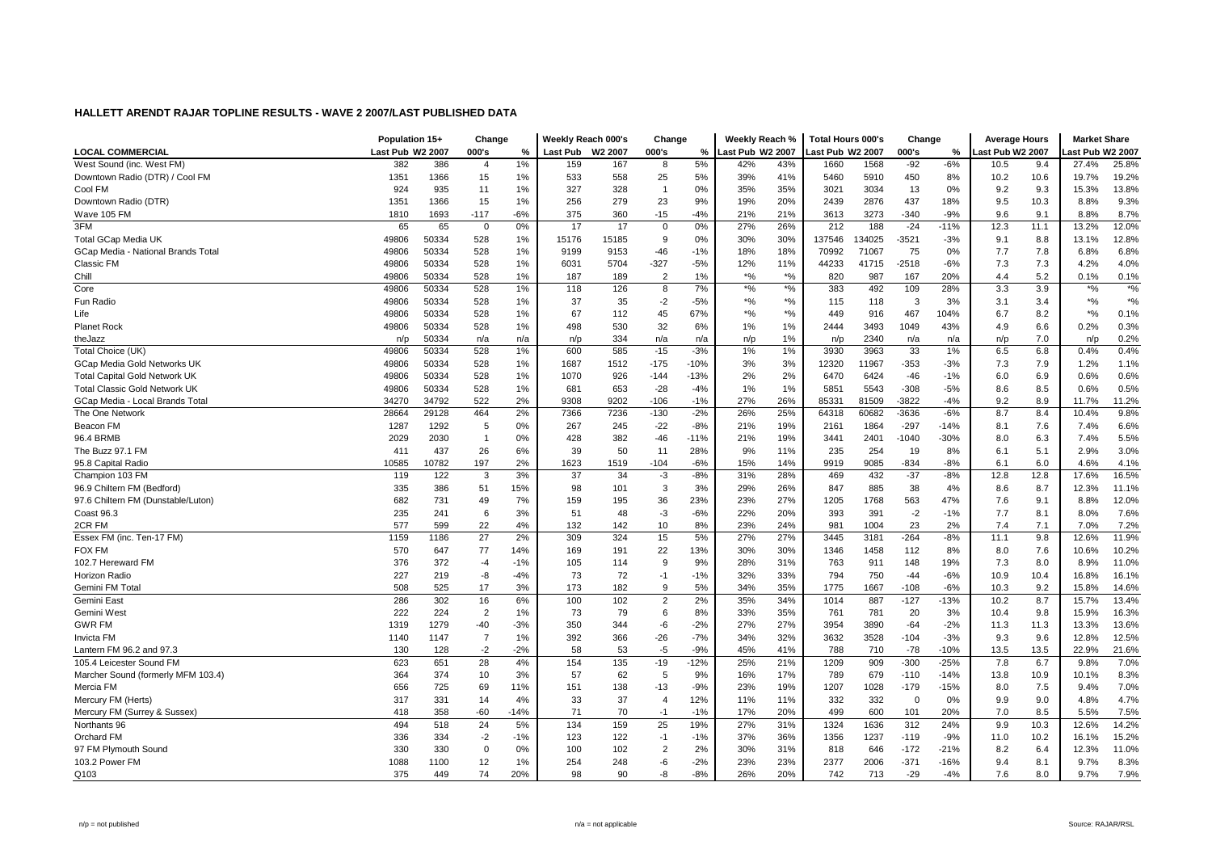|                                      | Population 15+   |       | Change         |        | Weekly Reach 000's |       | Change         |        | Weekly Reach %                   |               | <b>Total Hours 000's</b> |        | Change   |        | <b>Average Hours</b> |      | <b>Market Share</b>                           |                    |
|--------------------------------------|------------------|-------|----------------|--------|--------------------|-------|----------------|--------|----------------------------------|---------------|--------------------------|--------|----------|--------|----------------------|------|-----------------------------------------------|--------------------|
| <b>LOCAL COMMERCIAL</b>              | Last Pub W2 2007 |       | 000's          | %      | Last Pub W2 2007   |       | 000's          | %      | Last Pub W2 2007                 |               | ast Pub W2 2007          |        | 000's    | %      | ast Pub W2 2007      |      | ast Pub W2 2007                               |                    |
| West Sound (inc. West FM)            | 382              | 386   | $\overline{4}$ | 1%     | 159                | 167   | 8              | 5%     | 42%                              | 43%           | 1660                     | 1568   | $-92$    | $-6%$  | 10.5                 | 9.4  | 27.4%                                         | 25.8%              |
| Downtown Radio (DTR) / Cool FM       | 1351             | 1366  | 15             | 1%     | 533                | 558   | 25             | 5%     | 39%                              | 41%           | 5460                     | 5910   | 450      | 8%     | 10.2                 | 10.6 | 19.7%                                         | 19.2%              |
| Cool FM                              | 924              | 935   | 11             | 1%     | 327                | 328   | $\overline{1}$ | 0%     | 35%                              | 35%           | 3021                     | 3034   | 13       | 0%     | 9.2                  | 9.3  | 15.3%                                         | 13.8%              |
| Downtown Radio (DTR)                 | 1351             | 1366  | 15             | 1%     | 256                | 279   | 23             | 9%     | 19%                              | 20%           | 2439                     | 2876   | 437      | 18%    | 9.5                  | 10.3 | 8.8%                                          | 9.3%               |
| Wave 105 FM                          | 1810             | 1693  | $-117$         | $-6%$  | 375                | 360   | $-15$          | $-4%$  | 21%                              | 21%           | 3613                     | 3273   | $-340$   | $-9%$  | 9.6                  | 9.1  | 8.8%                                          | 8.7%               |
| 3FM                                  | 65               | 65    | $\mathbf 0$    | 0%     | 17                 | 17    | $\mathbf 0$    | 0%     | 27%                              | 26%           | 212                      | 188    | $-24$    | $-11%$ | 12.3                 | 11.1 | 13.2%                                         | 12.0%              |
| <b>Total GCap Media UK</b>           | 49806            | 50334 | 528            | 1%     | 15176              | 15185 | 9              | 0%     | 30%                              | 30%           | 137546                   | 134025 | $-3521$  | $-3%$  | 9.1                  | 8.8  | 13.1%                                         | 12.8%              |
| GCap Media - National Brands Total   | 49806            | 50334 | 528            | 1%     | 9199               | 9153  | $-46$          | $-1%$  | 18%                              | 18%           | 70992                    | 71067  | 75       | 0%     | 7.7                  | 7.8  | 6.8%                                          | 6.8%               |
| Classic FM                           | 49806            | 50334 | 528            | 1%     | 6031               | 5704  | $-327$         | $-5%$  | 12%                              | 11%           | 44233                    | 41715  | $-2518$  | $-6%$  | 7.3                  | 7.3  | 4.2%                                          | 4.0%               |
| Chill                                | 49806            | 50334 | 528            | 1%     | 187                | 189   | $\overline{2}$ | 1%     | $*$ %                            | $*$ %         | 820                      | 987    | 167      | 20%    | 4.4                  | 5.2  | 0.1%                                          | 0.1%               |
| Core                                 | 49806            | 50334 | 528            | 1%     | 118                | 126   | 8              | 7%     | $\frac{1}{2}$                    | $\frac{1}{2}$ | 383                      | 492    | 109      | 28%    | 3.3                  | 3.9  | $\boldsymbol{^{*0}}\!\mathstrut_{\mathbf{0}}$ | $\boldsymbol{*}$ % |
| Fun Radio                            | 49806            | 50334 | 528            | 1%     | 37                 | 35    | $-2$           | $-5%$  | $\boldsymbol{^{*0}}\!/\!\!\circ$ | $*9/6$        | 115                      | 118    | 3        | 3%     | 3.1                  | 3.4  | $*$ %                                         | $*9/6$             |
| Life                                 | 49806            | 50334 | 528            | 1%     | 67                 | 112   | 45             | 67%    | $*9/6$                           | $*9/6$        | 449                      | 916    | 467      | 104%   | 6.7                  | 8.2  | $*9/6$                                        | 0.1%               |
| <b>Planet Rock</b>                   | 49806            | 50334 | 528            | 1%     | 498                | 530   | 32             | 6%     | 1%                               | 1%            | 2444                     | 3493   | 1049     | 43%    | 4.9                  | 6.6  | 0.2%                                          | 0.3%               |
| theJazz                              | n/p              | 50334 | n/a            | n/a    | n/p                | 334   | n/a            | n/a    | n/p                              | 1%            | n/p                      | 2340   | n/a      | n/a    | n/p                  | 7.0  | n/p                                           | 0.2%               |
| Total Choice (UK)                    | 49806            | 50334 | 528            | 1%     | 600                | 585   | $-15$          | $-3%$  | $1\%$                            | 1%            | 3930                     | 3963   | 33       | 1%     | 6.5                  | 6.8  | 0.4%                                          | 0.4%               |
| GCap Media Gold Networks UK          | 49806            | 50334 | 528            | 1%     | 1687               | 1512  | $-175$         | $-10%$ | 3%                               | 3%            | 12320                    | 11967  | $-353$   | $-3%$  | 7.3                  | 7.9  | 1.2%                                          | 1.1%               |
| <b>Total Capital Gold Network UK</b> | 49806            | 50334 | 528            | 1%     | 1070               | 926   | $-144$         | $-13%$ | 2%                               | 2%            | 6470                     | 6424   | $-46$    | $-1%$  | 6.0                  | 6.9  | 0.6%                                          | 0.6%               |
| <b>Total Classic Gold Network UK</b> | 49806            | 50334 | 528            | 1%     | 681                | 653   | $-28$          | $-4%$  | 1%                               | 1%            | 5851                     | 5543   | $-308$   | $-5%$  | 8.6                  | 8.5  | 0.6%                                          | 0.5%               |
| GCap Media - Local Brands Total      | 34270            | 34792 | 522            | 2%     | 9308               | 9202  | $-106$         | $-1%$  | 27%                              | 26%           | 85331                    | 81509  | -3822    | $-4%$  | 9.2                  | 8.9  | 11.7%                                         | 11.2%              |
| The One Network                      | 28664            | 29128 | 464            | 2%     | 7366               | 7236  | $-130$         | $-2%$  | 26%                              | 25%           | 64318                    | 60682  | -3636    | $-6%$  | 8.7                  | 8.4  | 10.4%                                         | 9.8%               |
| Beacon FM                            | 1287             | 1292  | 5              | 0%     | 267                | 245   | $-22$          | $-8%$  | 21%                              | 19%           | 2161                     | 1864   | $-297$   | -14%   | 8.1                  | 7.6  | 7.4%                                          | 6.6%               |
| 96.4 BRMB                            | 2029             | 2030  | -1             | 0%     | 428                | 382   | $-46$          | $-11%$ | 21%                              | 19%           | 3441                     | 2401   | $-1040$  | -30%   | 8.0                  | 6.3  | 7.4%                                          | 5.5%               |
| The Buzz 97.1 FM                     | 411              | 437   | 26             | 6%     | 39                 | 50    | 11             | 28%    | 9%                               | 11%           | 235                      | 254    | 19       | 8%     | 6.1                  | 5.1  | 2.9%                                          | 3.0%               |
| 95.8 Capital Radio                   | 10585            | 10782 | 197            | 2%     | 1623               | 1519  | $-104$         | $-6%$  | 15%                              | 14%           | 9919                     | 9085   | $-834$   | $-8%$  | 6.1                  | 6.0  | 4.6%                                          | 4.1%               |
| Champion 103 FM                      | 119              | 122   | 3              | 3%     | 37                 | 34    | $-3$           | $-8%$  | 31%                              | 28%           | 469                      | 432    | $-37$    | $-8%$  | 12.8                 | 12.8 | 17.6%                                         | 16.5%              |
| 96.9 Chiltern FM (Bedford)           | 335              | 386   | 51             | 15%    | 98                 | 101   | 3              | 3%     | 29%                              | 26%           | 847                      | 885    | 38       | 4%     | 8.6                  | 8.7  | 12.3%                                         | 11.1%              |
| 97.6 Chiltern FM (Dunstable/Luton)   | 682              | 731   | 49             | 7%     | 159                | 195   | 36             | 23%    | 23%                              | 27%           | 1205                     | 1768   | 563      | 47%    | 7.6                  | 9.1  | 8.8%                                          | 12.0%              |
| Coast 96.3                           | 235              | 241   | 6              | 3%     | 51                 | 48    | -3             | $-6%$  | 22%                              | 20%           | 393                      | 391    | $-2$     | $-1%$  | 7.7                  | 8.1  | 8.0%                                          | 7.6%               |
| 2CR FM                               | 577              | 599   | 22             | 4%     | 132                | 142   | 10             | 8%     | 23%                              | 24%           | 981                      | 1004   | 23       | 2%     | 7.4                  | 7.1  | 7.0%                                          | 7.2%               |
| Essex FM (inc. Ten-17 FM)            | 1159             | 1186  | 27             | 2%     | 309                | 324   | 15             | 5%     | 27%                              | 27%           | 3445                     | 3181   | $-264$   | $-8%$  | 11.1                 | 9.8  | 12.6%                                         | 11.9%              |
| <b>FOX FM</b>                        | 570              | 647   | 77             | 14%    | 169                | 191   | 22             | 13%    | 30%                              | 30%           | 1346                     | 1458   | 112      | 8%     | 8.0                  | 7.6  | 10.6%                                         | 10.2%              |
| 102.7 Hereward FM                    | 376              | 372   | $-4$           | $-1%$  | 105                | 114   | 9              | 9%     | 28%                              | 31%           | 763                      | 911    | 148      | 19%    | 7.3                  | 8.0  | 8.9%                                          | 11.0%              |
| <b>Horizon Radio</b>                 | 227              | 219   | -8             | $-4%$  | 73                 | 72    | $-1$           | $-1%$  | 32%                              | 33%           | 794                      | 750    | $-44$    | $-6%$  | 10.9                 | 10.4 | 16.8%                                         | 16.1%              |
| Gemini FM Total                      | 508              | 525   | 17             | 3%     | 173                | 182   | 9              | 5%     | 34%                              | 35%           | 1775                     | 1667   | $-108$   | $-6%$  | 10.3                 | 9.2  | 15.8%                                         | 14.6%              |
| Gemini East                          | 286              | 302   | 16             | 6%     | 100                | 102   | $\overline{2}$ | 2%     | 35%                              | 34%           | 1014                     | 887    | $-127$   | $-13%$ | 10.2                 | 8.7  | 15.7%                                         | 13.4%              |
| Gemini West                          | 222              | 224   | $\overline{2}$ | 1%     | 73                 | 79    | 6              | 8%     | 33%                              | 35%           | 761                      | 781    | 20       | 3%     | 10.4                 | 9.8  | 15.9%                                         | 16.3%              |
| <b>GWR FM</b>                        | 1319             | 1279  | $-40$          | $-3%$  | 350                | 344   | -6             | $-2%$  | 27%                              | 27%           | 3954                     | 3890   | $-64$    | $-2%$  | 11.3                 | 11.3 | 13.3%                                         | 13.6%              |
| <b>Invicta FM</b>                    | 1140             | 1147  | $\overline{7}$ | 1%     | 392                | 366   | $-26$          | $-7%$  | 34%                              | 32%           | 3632                     | 3528   | $-104$   | $-3%$  | 9.3                  | 9.6  | 12.8%                                         | 12.5%              |
| Lantern FM 96.2 and 97.3             | 130              | 128   | $-2$           | $-2%$  | 58                 | 53    | $-5$           | $-9%$  | 45%                              | 41%           | 788                      | 710    | $-78$    | $-10%$ | 13.5                 | 13.5 | 22.9%                                         | 21.6%              |
| 105.4 Leicester Sound FM             | 623              | 651   | 28             | 4%     | 154                | 135   | $-19$          | $-12%$ | 25%                              | 21%           | 1209                     | 909    | $-300$   | $-25%$ | 7.8                  | 6.7  | 9.8%                                          | 7.0%               |
| Marcher Sound (formerly MFM 103.4)   | 364              | 374   | 10             | 3%     | 57                 | 62    | 5              | 9%     | 16%                              | 17%           | 789                      | 679    | $-110$   | $-14%$ | 13.8                 | 10.9 | 10.1%                                         | 8.3%               |
| Mercia FM                            | 656              | 725   | 69             | 11%    | 151                | 138   | $-13$          | $-9%$  | 23%                              | 19%           | 1207                     | 1028   | $-179$   | $-15%$ | 8.0                  | 7.5  | 9.4%                                          | 7.0%               |
| Mercury FM (Herts)                   | 317              | 331   | 14             | 4%     | 33                 | 37    | $\overline{4}$ | 12%    | 11%                              | 11%           | 332                      | 332    | $\Omega$ | 0%     | 9.9                  | 9.0  | 4.8%                                          | 4.7%               |
| Mercury FM (Surrey & Sussex)         | 418              | 358   | $-60$          | $-14%$ | 71                 | 70    | $-1$           | $-1%$  | 17%                              | 20%           | 499                      | 600    | 101      | 20%    | 7.0                  | 8.5  | 5.5%                                          | 7.5%               |
| Northants 96                         | 494              | 518   | 24             | 5%     | 134                | 159   | 25             | 19%    | 27%                              | 31%           | 1324                     | 1636   | 312      | 24%    | 9.9                  | 10.3 | 12.6%                                         | 14.2%              |
| Orchard FM                           | 336              | 334   | $-2$           | $-1%$  | 123                | 122   | $-1$           | $-1%$  | 37%                              | 36%           | 1356                     | 1237   | $-119$   | $-9%$  | 11.0                 | 10.2 | 16.1%                                         | 15.2%              |
| 97 FM Plymouth Sound                 | 330              | 330   | $\Omega$       | 0%     | 100                | 102   | $\overline{2}$ | 2%     | 30%                              | 31%           | 818                      | 646    | $-172$   | $-21%$ | 8.2                  | 6.4  | 12.3%                                         | 11.0%              |
| 103.2 Power FM                       | 1088             | 1100  | 12             | 1%     | 254                | 248   | -6             | $-2%$  | 23%                              | 23%           | 2377                     | 2006   | $-371$   | $-16%$ | 9.4                  | 8.1  | 9.7%                                          | 8.3%               |
| Q103                                 | 375              | 449   | 74             | 20%    | 98                 | 90    | -8             | $-8%$  | 26%                              | 20%           | 742                      | 713    | $-29$    | $-4%$  | 7.6                  | 8.0  | 9.7%                                          | 7.9%               |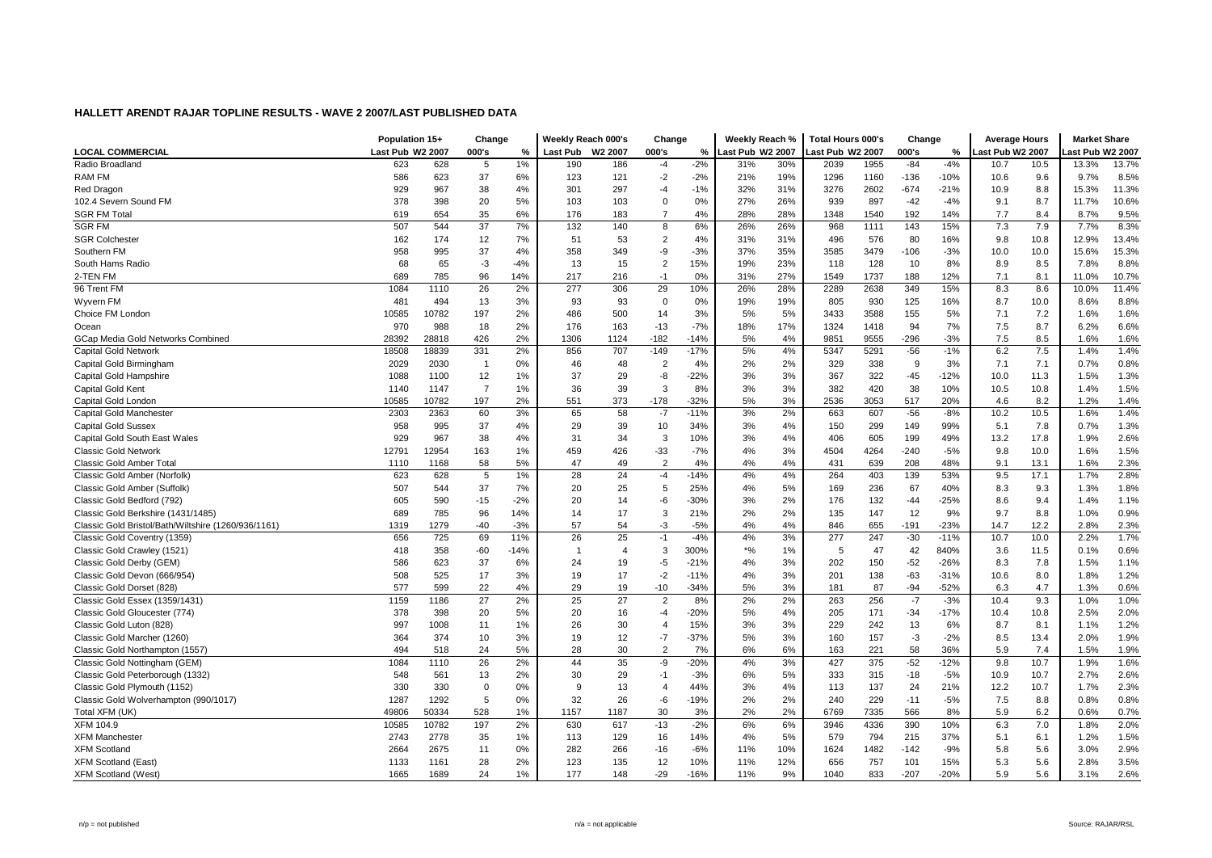|                                                     | Population 15+   |       | Change         |        | Weekly Reach 000's |                | Change         |        | Weekly Reach %   |     | <b>Total Hours 000's</b> |      | Change |        | <b>Average Hours</b> |      | <b>Market Share</b> |       |
|-----------------------------------------------------|------------------|-------|----------------|--------|--------------------|----------------|----------------|--------|------------------|-----|--------------------------|------|--------|--------|----------------------|------|---------------------|-------|
| LOCAL COMMERCIAL                                    | Last Pub W2 2007 |       | 000's          | %      | <b>Last Pub</b>    | W2 2007        | 000's          | %      | Last Pub W2 2007 |     | ast Pub W2 2007.         |      | 000's  | %      | ast Pub W2 2007      |      | ast Pub W2 2007     |       |
| Radio Broadland                                     | 623              | 628   | 5              | 1%     | 190                | 186            | $-4$           | $-2%$  | 31%              | 30% | 2039                     | 1955 | $-84$  | $-4%$  | 10.7                 | 10.5 | 13.3%               | 13.7% |
| RAM FM                                              | 586              | 623   | 37             | 6%     | 123                | 121            | $-2$           | $-2%$  | 21%              | 19% | 1296                     | 1160 | $-136$ | $-10%$ | 10.6                 | 9.6  | 9.7%                | 8.5%  |
| Red Dragon                                          | 929              | 967   | 38             | 4%     | 301                | 297            | $-4$           | $-1%$  | 32%              | 31% | 3276                     | 2602 | $-674$ | $-21%$ | 10.9                 | 8.8  | 15.3%               | 11.3% |
| 102.4 Severn Sound FM                               | 378              | 398   | 20             | 5%     | 103                | 103            | $\mathbf 0$    | 0%     | 27%              | 26% | 939                      | 897  | $-42$  | $-4%$  | 9.1                  | 8.7  | 11.7%               | 10.6% |
| <b>SGR FM Total</b>                                 | 619              | 654   | 35             | 6%     | 176                | 183            | $\overline{7}$ | 4%     | 28%              | 28% | 1348                     | 1540 | 192    | 14%    | 7.7                  | 8.4  | 8.7%                | 9.5%  |
| <b>SGR FM</b>                                       | 507              | 544   | 37             | 7%     | 132                | 140            | 8              | 6%     | 26%              | 26% | 968                      | 1111 | 143    | 15%    | 7.3                  | 7.9  | 7.7%                | 8.3%  |
| <b>SGR Colchester</b>                               | 162              | 174   | 12             | 7%     | 51                 | 53             | $\overline{2}$ | 4%     | 31%              | 31% | 496                      | 576  | 80     | 16%    | 9.8                  | 10.8 | 12.9%               | 13.4% |
| Southern FM                                         | 958              | 995   | 37             | 4%     | 358                | 349            | -9             | $-3%$  | 37%              | 35% | 3585                     | 3479 | $-106$ | $-3%$  | 10.0                 | 10.0 | 15.6%               | 15.3% |
| South Hams Radio                                    | 68               | 65    | $-3$           | $-4%$  | 13                 | 15             | $\overline{2}$ | 15%    | 19%              | 23% | 118                      | 128  | 10     | 8%     | 8.9                  | 8.5  | 7.8%                | 8.8%  |
| 2-TEN FM                                            | 689              | 785   | 96             | 14%    | 217                | 216            | $-1$           | 0%     | 31%              | 27% | 1549                     | 1737 | 188    | 12%    | 7.1                  | 8.1  | 11.0%               | 10.7% |
| 96 Trent FM                                         | 1084             | 1110  | 26             | 2%     | 277                | 306            | 29             | 10%    | 26%              | 28% | 2289                     | 2638 | 349    | 15%    | 8.3                  | 8.6  | 10.0%               | 11.4% |
| Wyvern FM                                           | 481              | 494   | 13             | 3%     | 93                 | 93             | $\mathbf 0$    | 0%     | 19%              | 19% | 805                      | 930  | 125    | 16%    | 8.7                  | 10.0 | 8.6%                | 8.8%  |
| Choice FM London                                    | 10585            | 10782 | 197            | 2%     | 486                | 500            | 14             | 3%     | 5%               | 5%  | 3433                     | 3588 | 155    | 5%     | 7.1                  | 7.2  | 1.6%                | 1.6%  |
| Ocean                                               | 970              | 988   | 18             | 2%     | 176                | 163            | $-13$          | $-7%$  | 18%              | 17% | 1324                     | 1418 | 94     | 7%     | 7.5                  | 8.7  | 6.2%                | 6.6%  |
| GCap Media Gold Networks Combined                   | 28392            | 28818 | 426            | 2%     | 1306               | 1124           | $-182$         | $-14%$ | 5%               | 4%  | 9851                     | 9555 | $-296$ | $-3%$  | 7.5                  | 8.5  | 1.6%                | 1.6%  |
| <b>Capital Gold Network</b>                         | 18508            | 18839 | 331            | 2%     | 856                | 707            | $-149$         | $-17%$ | 5%               | 4%  | 5347                     | 5291 | $-56$  | $-1%$  | 6.2                  | 7.5  | 1.4%                | 1.4%  |
| Capital Gold Birmingham                             | 2029             | 2030  | -1             | 0%     | 46                 | 48             | $\overline{2}$ | 4%     | 2%               | 2%  | 329                      | 338  | 9      | 3%     | 7.1                  | 7.1  | 0.7%                | 0.8%  |
| Capital Gold Hampshire                              | 1088             | 1100  | 12             | 1%     | 37                 | 29             | -8             | $-22%$ | 3%               | 3%  | 367                      | 322  | $-45$  | $-12%$ | 10.0                 | 11.3 | 1.5%                | 1.3%  |
| Capital Gold Kent                                   | 1140             | 1147  | $\overline{7}$ | 1%     | 36                 | 39             | 3              | 8%     | 3%               | 3%  | 382                      | 420  | 38     | 10%    | 10.5                 | 10.8 | 1.4%                | 1.5%  |
| Capital Gold London                                 | 10585            | 10782 | 197            | 2%     | 551                | 373            | $-178$         | $-32%$ | 5%               | 3%  | 2536                     | 3053 | 517    | 20%    | 4.6                  | 8.2  | 1.2%                | 1.4%  |
| Capital Gold Manchester                             | 2303             | 2363  | 60             | 3%     | 65                 | 58             | $-7$           | $-11%$ | 3%               | 2%  | 663                      | 607  | $-56$  | $-8%$  | 10.2                 | 10.5 | 1.6%                | 1.4%  |
| <b>Capital Gold Sussex</b>                          | 958              | 995   | 37             | 4%     | 29                 | 39             | 10             | 34%    | 3%               | 4%  | 150                      | 299  | 149    | 99%    | 5.1                  | 7.8  | 0.7%                | 1.3%  |
| Capital Gold South East Wales                       | 929              | 967   | 38             | 4%     | 31                 | 34             | 3              | 10%    | 3%               | 4%  | 406                      | 605  | 199    | 49%    | 13.2                 | 17.8 | 1.9%                | 2.6%  |
| <b>Classic Gold Network</b>                         | 12791            | 12954 | 163            | 1%     | 459                | 426            | -33            | $-7%$  | 4%               | 3%  | 4504                     | 4264 | $-240$ | $-5%$  | 9.8                  | 10.0 | 1.6%                | 1.5%  |
| Classic Gold Amber Total                            | 1110             | 1168  | 58             | 5%     | 47                 | 49             | $\overline{2}$ | 4%     | 4%               | 4%  | 431                      | 639  | 208    | 48%    | 9.1                  | 13.1 | 1.6%                | 2.3%  |
| Classic Gold Amber (Norfolk)                        | 623              | 628   | 5              | 1%     | 28                 | 24             | $-4$           | $-14%$ | 4%               | 4%  | 264                      | 403  | 139    | 53%    | 9.5                  | 17.1 | 1.7%                | 2.8%  |
| Classic Gold Amber (Suffolk)                        | 507              | 544   | 37             | 7%     | 20                 | 25             | 5              | 25%    | 4%               | 5%  | 169                      | 236  | 67     | 40%    | 8.3                  | 9.3  | 1.3%                | 1.8%  |
| Classic Gold Bedford (792)                          | 605              | 590   | $-15$          | $-2%$  | 20                 | 14             | -6             | $-30%$ | 3%               | 2%  | 176                      | 132  | $-44$  | $-25%$ | 8.6                  | 9.4  | 1.4%                | 1.1%  |
| Classic Gold Berkshire (1431/1485)                  | 689              | 785   | 96             | 14%    | 14                 | 17             | 3              | 21%    | 2%               | 2%  | 135                      | 147  | 12     | 9%     | 9.7                  | 8.8  | 1.0%                | 0.9%  |
| Classic Gold Bristol/Bath/Wiltshire (1260/936/1161) | 1319             | 1279  | $-40$          | $-3%$  | 57                 | 54             | -3             | $-5%$  | 4%               | 4%  | 846                      | 655  | $-191$ | $-23%$ | 14.7                 | 12.2 | 2.8%                | 2.3%  |
| Classic Gold Coventry (1359)                        | 656              | 725   | 69             | 11%    | 26                 | 25             | $-1$           | $-4%$  | 4%               | 3%  | 277                      | 247  | $-30$  | $-11%$ | 10.7                 | 10.0 | 2.2%                | 1.7%  |
| Classic Gold Crawley (1521)                         | 418              | 358   | $-60$          | $-14%$ | $\overline{1}$     | $\overline{4}$ | 3              | 300%   | $*9/6$           | 1%  | 5                        | 47   | 42     | 840%   | 3.6                  | 11.5 | 0.1%                | 0.6%  |
| Classic Gold Derby (GEM)                            | 586              | 623   | 37             | 6%     | 24                 | 19             | $-5$           | $-21%$ | 4%               | 3%  | 202                      | 150  | $-52$  | $-26%$ | 8.3                  | 7.8  | 1.5%                | 1.1%  |
| Classic Gold Devon (666/954)                        | 508              | 525   | 17             | 3%     | 19                 | 17             | $-2$           | $-11%$ | 4%               | 3%  | 201                      | 138  | $-63$  | $-31%$ | 10.6                 | 8.0  | 1.8%                | 1.2%  |
| Classic Gold Dorset (828)                           | 577              | 599   | 22             | 4%     | 29                 | 19             | $-10$          | $-34%$ | 5%               | 3%  | 181                      | 87   | $-94$  | $-52%$ | 6.3                  | 4.7  | 1.3%                | 0.6%  |
| Classic Gold Essex (1359/1431)                      | 1159             | 1186  | 27             | 2%     | 25                 | 27             | $\overline{2}$ | 8%     | 2%               | 2%  | 263                      | 256  | $-7$   | $-3%$  | 10.4                 | 9.3  | 1.0%                | 1.0%  |
| Classic Gold Gloucester (774)                       | 378              | 398   | 20             | 5%     | 20                 | 16             | $-4$           | $-20%$ | 5%               | 4%  | 205                      | 171  | $-34$  | $-17%$ | 10.4                 | 10.8 | 2.5%                | 2.0%  |
| Classic Gold Luton (828)                            | 997              | 1008  | 11             | 1%     | 26                 | 30             | $\overline{4}$ | 15%    | 3%               | 3%  | 229                      | 242  | 13     | 6%     | 8.7                  | 8.1  | 1.1%                | 1.2%  |
| Classic Gold Marcher (1260)                         | 364              | 374   | 10             | 3%     | 19                 | 12             | $-7$           | $-37%$ | 5%               | 3%  | 160                      | 157  | $-3$   | $-2%$  | 8.5                  | 13.4 | 2.0%                | 1.9%  |
| Classic Gold Northampton (1557)                     | 494              | 518   | 24             | 5%     | 28                 | 30             | $\overline{2}$ | 7%     | 6%               | 6%  | 163                      | 221  | 58     | 36%    | 5.9                  | 7.4  | 1.5%                | 1.9%  |
| Classic Gold Nottingham (GEM)                       | 1084             | 1110  | 26             | 2%     | 44                 | 35             | -9             | $-20%$ | 4%               | 3%  | 427                      | 375  | $-52$  | $-12%$ | 9.8                  | 10.7 | 1.9%                | 1.6%  |
| Classic Gold Peterborough (1332)                    | 548              | 561   | 13             | 2%     | 30                 | 29             | $-1$           | $-3%$  | 6%               | 5%  | 333                      | 315  | $-18$  | $-5%$  | 10.9                 | 10.7 | 2.7%                | 2.6%  |
| Classic Gold Plymouth (1152)                        | 330              | 330   | $\mathbf 0$    | 0%     | 9                  | 13             | $\overline{4}$ | 44%    | 3%               | 4%  | 113                      | 137  | 24     | 21%    | 12.2                 | 10.7 | 1.7%                | 2.3%  |
| Classic Gold Wolverhampton (990/1017)               | 1287             | 1292  | 5              | 0%     | 32                 | 26             | $-6$           | $-19%$ | 2%               | 2%  | 240                      | 229  | $-11$  | $-5%$  | 7.5                  | 8.8  | 0.8%                | 0.8%  |
| Total XFM (UK)                                      | 49806            | 50334 | 528            | 1%     | 1157               | 1187           | 30             | 3%     | 2%               | 2%  | 6769                     | 7335 | 566    | 8%     | 5.9                  | 6.2  | 0.6%                | 0.7%  |
| <b>XFM 104.9</b>                                    | 10585            | 10782 | 197            | 2%     | 630                | 617            | $-13$          | $-2%$  | 6%               | 6%  | 3946                     | 4336 | 390    | 10%    | 6.3                  | 7.0  | 1.8%                | 2.0%  |
| <b>XFM Manchester</b>                               | 2743             | 2778  | 35             | 1%     | 113                | 129            | 16             | 14%    | 4%               | 5%  | 579                      | 794  | 215    | 37%    | 5.1                  | 6.1  | 1.2%                | 1.5%  |
| <b>XFM Scotland</b>                                 | 2664             | 2675  | 11             | 0%     | 282                | 266            | $-16$          | $-6%$  | 11%              | 10% | 1624                     | 1482 | $-142$ | $-9%$  | 5.8                  | 5.6  | 3.0%                | 2.9%  |
| <b>XFM Scotland (East)</b>                          | 1133             | 1161  | 28             | 2%     | 123                | 135            | 12             | 10%    | 11%              | 12% | 656                      | 757  | 101    | 15%    | 5.3                  | 5.6  | 2.8%                | 3.5%  |
| <b>XFM Scotland (West)</b>                          | 1665             | 1689  | 24             | 1%     | 177                | 148            | $-29$          | $-16%$ | 11%              | 9%  | 1040                     | 833  | $-207$ | $-20%$ | 5.9                  | 5.6  | 3.1%                | 2.6%  |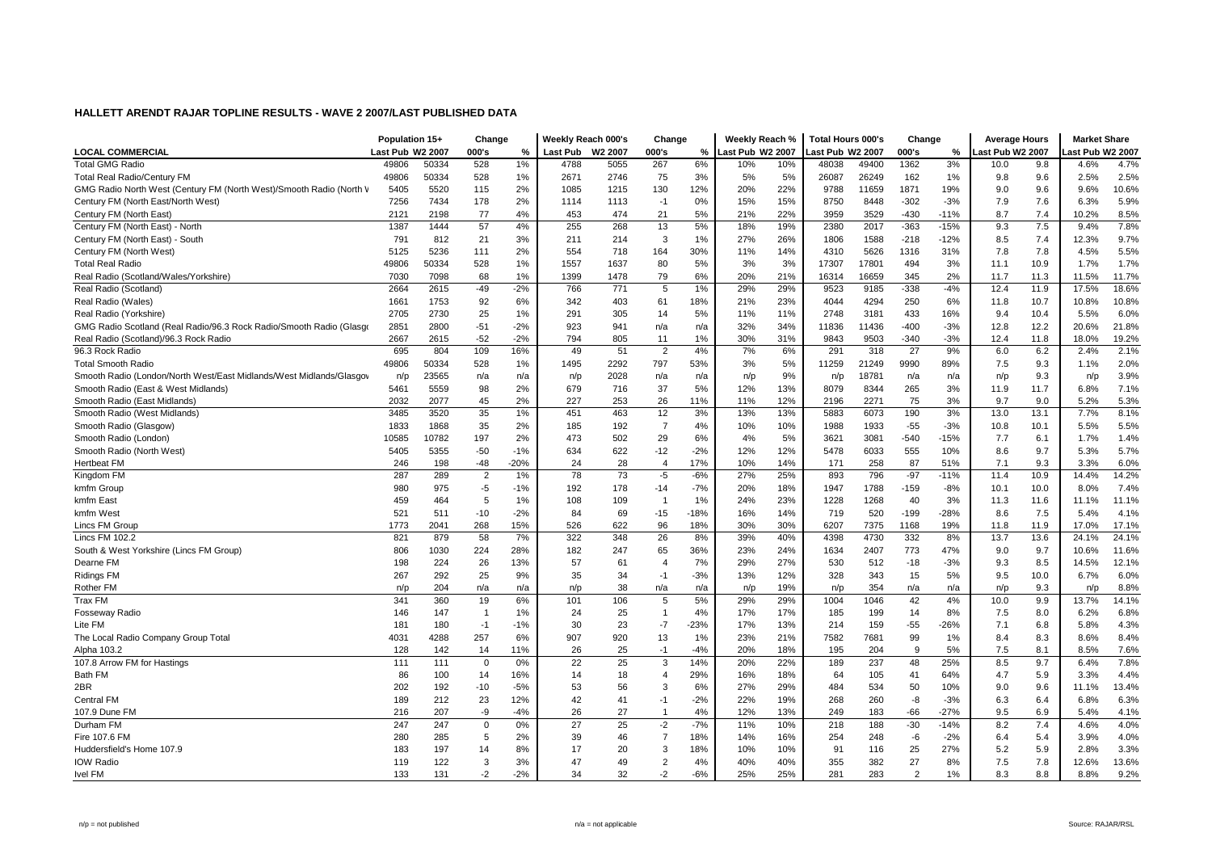|                                                                     | Population 15+   |       | Change         |        | Weekly Reach 000's |         | Change         |        | Weekly Reach %   |     | <b>Total Hours 000's</b> |       | Change        |        | <b>Average Hours</b> |      | <b>Market Share</b> |       |
|---------------------------------------------------------------------|------------------|-------|----------------|--------|--------------------|---------|----------------|--------|------------------|-----|--------------------------|-------|---------------|--------|----------------------|------|---------------------|-------|
| <b>LOCAL COMMERCIAL</b>                                             | Last Pub W2 2007 |       | 000's          | %      | <b>Last Pub</b>    | W2 2007 | 000's          | %      | Last Pub W2 2007 |     | ast Pub W2 2007          |       | 000's         | %      | ast Pub W2 2007      |      | ast Pub W2 2007     |       |
| <b>Total GMG Radio</b>                                              | 49806            | 50334 | 528            | 1%     | 4788               | 5055    | 267            | 6%     | 10%              | 10% | 48038                    | 49400 | 1362          | 3%     | 10.0                 | 9.8  | 4.6%                | 4.7%  |
| <b>Total Real Radio/Century FM</b>                                  | 49806            | 50334 | 528            | 1%     | 2671               | 2746    | 75             | 3%     | 5%               | 5%  | 26087                    | 26249 | 162           | 1%     | 9.8                  | 9.6  | 2.5%                | 2.5%  |
| GMG Radio North West (Century FM (North West)/Smooth Radio (North V | 5405             | 5520  | 115            | 2%     | 1085               | 1215    | 130            | 12%    | 20%              | 22% | 9788                     | 11659 | 1871          | 19%    | 9.0                  | 9.6  | 9.6%                | 10.6% |
| Century FM (North East/North West)                                  | 7256             | 7434  | 178            | 2%     | 1114               | 1113    | $-1$           | 0%     | 15%              | 15% | 8750                     | 8448  | $-302$        | $-3%$  | 7.9                  | 7.6  | 6.3%                | 5.9%  |
| Century FM (North East)                                             | 2121             | 2198  | 77             | 4%     | 453                | 474     | 21             | 5%     | 21%              | 22% | 3959                     | 3529  | $-430$        | $-11%$ | 8.7                  | 7.4  | 10.2%               | 8.5%  |
| Century FM (North East) - North                                     | 1387             | 1444  | 57             | 4%     | 255                | 268     | 13             | 5%     | 18%              | 19% | 2380                     | 2017  | $-363$        | $-15%$ | 9.3                  | 7.5  | 9.4%                | 7.8%  |
| Century FM (North East) - South                                     | 791              | 812   | 21             | 3%     | 211                | 214     | 3              | 1%     | 27%              | 26% | 1806                     | 1588  | $-218$        | $-12%$ | 8.5                  | 7.4  | 12.3%               | 9.7%  |
| Century FM (North West)                                             | 5125             | 5236  | 111            | 2%     | 554                | 718     | 164            | 30%    | 11%              | 14% | 4310                     | 5626  | 1316          | 31%    | 7.8                  | 7.8  | 4.5%                | 5.5%  |
| <b>Total Real Radio</b>                                             | 49806            | 50334 | 528            | 1%     | 1557               | 1637    | 80             | 5%     | 3%               | 3%  | 17307                    | 17801 | 494           | 3%     | 11.1                 | 10.9 | 1.7%                | 1.7%  |
| Real Radio (Scotland/Wales/Yorkshire)                               | 7030             | 7098  | 68             | 1%     | 1399               | 1478    | 79             | 6%     | 20%              | 21% | 16314                    | 16659 | 345           | 2%     | 11.7                 | 11.3 | 11.5%               | 11.7% |
| Real Radio (Scotland)                                               | 2664             | 2615  | $-49$          | $-2%$  | 766                | 771     | 5              | 1%     | 29%              | 29% | 9523                     | 9185  | $-338$        | $-4%$  | 12.4                 | 11.9 | 17.5%               | 18.6% |
| Real Radio (Wales)                                                  | 1661             | 1753  | 92             | 6%     | 342                | 403     | 61             | 18%    | 21%              | 23% | 4044                     | 4294  | 250           | 6%     | 11.8                 | 10.7 | 10.8%               | 10.8% |
| Real Radio (Yorkshire)                                              | 2705             | 2730  | 25             | 1%     | 291                | 305     | 14             | 5%     | 11%              | 11% | 2748                     | 3181  | 433           | 16%    | 9.4                  | 10.4 | 5.5%                | 6.0%  |
| GMG Radio Scotland (Real Radio/96.3 Rock Radio/Smooth Radio (Glasqo | 2851             | 2800  | $-51$          | $-2%$  | 923                | 941     | n/a            | n/a    | 32%              | 34% | 11836                    | 11436 | $-400$        | $-3%$  | 12.8                 | 12.2 | 20.6%               | 21.8% |
| Real Radio (Scotland)/96.3 Rock Radio                               | 2667             | 2615  | $-52$          | $-2%$  | 794                | 805     | 11             | 1%     | 30%              | 31% | 9843                     | 9503  | $-340$        | $-3%$  | 12.4                 | 11.8 | 18.0%               | 19.2% |
| 96.3 Rock Radio                                                     | 695              | 804   | 109            | 16%    | 49                 | 51      | $\overline{2}$ | 4%     | 7%               | 6%  | 291                      | 318   | 27            | 9%     | 6.0                  | 6.2  | 2.4%                | 2.1%  |
| <b>Total Smooth Radio</b>                                           | 49806            | 50334 | 528            | 1%     | 1495               | 2292    | 797            | 53%    | 3%               | 5%  | 11259                    | 21249 | 9990          | 89%    | 7.5                  | 9.3  | 1.1%                | 2.0%  |
| Smooth Radio (London/North West/East Midlands/West Midlands/Glasgov | n/p              | 23565 | n/a            | n/a    | n/p                | 2028    | n/a            | n/a    | n/p              | 9%  | n/p                      | 18781 | n/a           | n/a    | n/p                  | 9.3  | n/p                 | 3.9%  |
| Smooth Radio (East & West Midlands)                                 | 5461             | 5559  | 98             | 2%     | 679                | 716     | 37             | 5%     | 12%              | 13% | 8079                     | 8344  | 265           | 3%     | 11.9                 | 11.7 | 6.8%                | 7.1%  |
| Smooth Radio (East Midlands)                                        | 2032             | 2077  | 45             | 2%     | 227                | 253     | 26             | 11%    | 11%              | 12% | 2196                     | 2271  | 75            | 3%     | 9.7                  | 9.0  | 5.2%                | 5.3%  |
| Smooth Radio (West Midlands)                                        | 3485             | 3520  | 35             | 1%     | 451                | 463     | 12             | 3%     | 13%              | 13% | 5883                     | 6073  | 190           | 3%     | 13.0                 | 13.1 | 7.7%                | 8.1%  |
| Smooth Radio (Glasgow)                                              | 1833             | 1868  | 35             | 2%     | 185                | 192     | $\overline{7}$ | 4%     | 10%              | 10% | 1988                     | 1933  | $-55$         | $-3%$  | 10.8                 | 10.1 | 5.5%                | 5.5%  |
| Smooth Radio (London)                                               | 10585            | 10782 | 197            | 2%     | 473                | 502     | 29             | 6%     | 4%               | 5%  | 3621                     | 3081  | $-540$        | $-15%$ | 7.7                  | 6.1  | 1.7%                | 1.4%  |
| Smooth Radio (North West)                                           | 5405             | 5355  | $-50$          | $-1%$  | 634                | 622     | $-12$          | $-2%$  | 12%              | 12% | 5478                     | 6033  | 555           | 10%    | 8.6                  | 9.7  | 5.3%                | 5.7%  |
| <b>Hertbeat FM</b>                                                  | 246              | 198   | $-48$          | $-20%$ | 24                 | 28      | $\overline{4}$ | 17%    | 10%              | 14% | 171                      | 258   | 87            | 51%    | 7.1                  | 9.3  | 3.3%                | 6.0%  |
| Kingdom FM                                                          | 287              | 289   | $\overline{2}$ | 1%     | 78                 | 73      | $-5$           | $-6%$  | 27%              | 25% | 893                      | 796   | $-97$         | $-11%$ | 11.4                 | 10.9 | 14.4%               | 14.2% |
| kmfm Group                                                          | 980              | 975   | $-5$           | $-1%$  | 192                | 178     | $-14$          | $-7%$  | 20%              | 18% | 1947                     | 1788  | $-159$        | $-8%$  | 10.1                 | 10.0 | 8.0%                | 7.4%  |
| kmfm East                                                           | 459              | 464   | 5              | 1%     | 108                | 109     | -1             | 1%     | 24%              | 23% | 1228                     | 1268  | 40            | 3%     | 11.3                 | 11.6 | 11.1%               | 11.1% |
| kmfm West                                                           | 521              | 511   | $-10$          | $-2%$  | 84                 | 69      | $-15$          | $-18%$ | 16%              | 14% | 719                      | 520   | $-199$        | $-28%$ | 8.6                  | 7.5  | 5.4%                | 4.1%  |
| Lincs FM Group                                                      | 1773             | 2041  | 268            | 15%    | 526                | 622     | 96             | 18%    | 30%              | 30% | 6207                     | 7375  | 1168          | 19%    | 11.8                 | 11.9 | 17.0%               | 17.1% |
| Lincs FM 102.2                                                      | 821              | 879   | 58             | 7%     | 322                | 348     | 26             | 8%     | 39%              | 40% | 4398                     | 4730  | 332           | 8%     | 13.7                 | 13.6 | 24.1%               | 24.1% |
| South & West Yorkshire (Lincs FM Group)                             | 806              | 1030  | 224            | 28%    | 182                | 247     | 65             | 36%    | 23%              | 24% | 1634                     | 2407  | 773           | 47%    | 9.0                  | 9.7  | 10.6%               | 11.6% |
| Dearne FM                                                           | 198              | 224   | 26             | 13%    | 57                 | 61      | $\overline{4}$ | 7%     | 29%              | 27% | 530                      | 512   | $-18$         | $-3%$  | 9.3                  | 8.5  | 14.5%               | 12.1% |
| <b>Ridings FM</b>                                                   | 267              | 292   | 25             | 9%     | 35                 | 34      | $-1$           | $-3%$  | 13%              | 12% | 328                      | 343   | 15            | 5%     | 9.5                  | 10.0 | 6.7%                | 6.0%  |
| Rother FM                                                           | n/p              | 204   | n/a            | n/a    | n/p                | 38      | n/a            | n/a    | n/p              | 19% | n/p                      | 354   | n/a           | n/a    | n/p                  | 9.3  | n/p                 | 8.8%  |
| Trax FM                                                             | 341              | 360   | 19             | 6%     | 101                | 106     | 5              | 5%     | 29%              | 29% | 1004                     | 1046  | 42            | 4%     | 10.0                 | 9.9  | 13.7%               | 14.1% |
| <b>Fosseway Radio</b>                                               | 146              | 147   | -1             | 1%     | 24                 | 25      | $\mathbf{1}$   | 4%     | 17%              | 17% | 185                      | 199   | 14            | 8%     | 7.5                  | 8.0  | 6.2%                | 6.8%  |
| Lite FM                                                             | 181              | 180   | $-1$           | $-1%$  | 30                 | 23      | $-7$           | $-23%$ | 17%              | 13% | 214                      | 159   | $-55$         | $-26%$ | 7.1                  | 6.8  | 5.8%                | 4.3%  |
| The Local Radio Company Group Total                                 | 4031             | 4288  | 257            | 6%     | 907                | 920     | 13             | 1%     | 23%              | 21% | 7582                     | 7681  | 99            | 1%     | 8.4                  | 8.3  | 8.6%                | 8.4%  |
| Alpha 103.2                                                         | 128              | 142   | 14             | 11%    | 26                 | 25      | $-1$           | $-4%$  | 20%              | 18% | 195                      | 204   | 9             | 5%     | 7.5                  | 8.1  | 8.5%                | 7.6%  |
| 107.8 Arrow FM for Hastings                                         | 111              | 111   | $\mathbf 0$    | 0%     | 22                 | 25      | 3              | 14%    | 20%              | 22% | 189                      | 237   | 48            | 25%    | 8.5                  | 9.7  | 6.4%                | 7.8%  |
| Bath FM                                                             | 86               | 100   | 14             | 16%    | 14                 | 18      | $\overline{4}$ | 29%    | 16%              | 18% | 64                       | 105   | 41            | 64%    | 4.7                  | 5.9  | 3.3%                | 4.4%  |
| 2BR                                                                 | 202              | 192   | $-10$          | $-5%$  | 53                 | 56      | 3              | 6%     | 27%              | 29% | 484                      | 534   | 50            | 10%    | 9.0                  | 9.6  | 11.1%               | 13.4% |
| <b>Central FM</b>                                                   | 189              | 212   | 23             | 12%    | 42                 | 41      | $-1$           | $-2%$  | 22%              | 19% | 268                      | 260   | -8            | $-3%$  | 6.3                  | 6.4  | 6.8%                | 6.3%  |
| 107.9 Dune FM                                                       | 216              | 207   | -9             | $-4%$  | 26                 | 27      |                | 4%     | 12%              | 13% | 249                      | 183   | $-66$         | $-27%$ | 9.5                  | 6.9  | 5.4%                | 4.1%  |
| Durham FM                                                           | 247              | 247   | $\mathbf 0$    | 0%     | 27                 | 25      | $-2$           | $-7%$  | 11%              | 10% | 218                      | 188   | $-30$         | $-14%$ | 8.2                  | 7.4  | 4.6%                | 4.0%  |
| Fire 107.6 FM                                                       | 280              | 285   | 5              | 2%     | 39                 | 46      | $\overline{7}$ | 18%    | 14%              | 16% | 254                      | 248   | -6            | $-2%$  | 6.4                  | 5.4  | 3.9%                | 4.0%  |
| Huddersfield's Home 107.9                                           | 183              | 197   | 14             | 8%     | 17                 | 20      | 3              | 18%    | 10%              | 10% | 91                       | 116   | 25            | 27%    | 5.2                  | 5.9  | 2.8%                | 3.3%  |
| <b>IOW Radio</b>                                                    | 119              | 122   | 3              | 3%     | 47                 | 49      | $\overline{2}$ | 4%     | 40%              | 40% | 355                      | 382   | 27            | 8%     | 7.5                  | 7.8  | 12.6%               | 13.6% |
| <b>Ivel FM</b>                                                      | 133              | 131   | $-2$           | $-2%$  | 34                 | 32      | $-2$           | $-6%$  | 25%              | 25% | 281                      | 283   | $\mathcal{P}$ | 1%     | 8.3                  | 8.8  | 8.8%                | 9.2%  |
|                                                                     |                  |       |                |        |                    |         |                |        |                  |     |                          |       |               |        |                      |      |                     |       |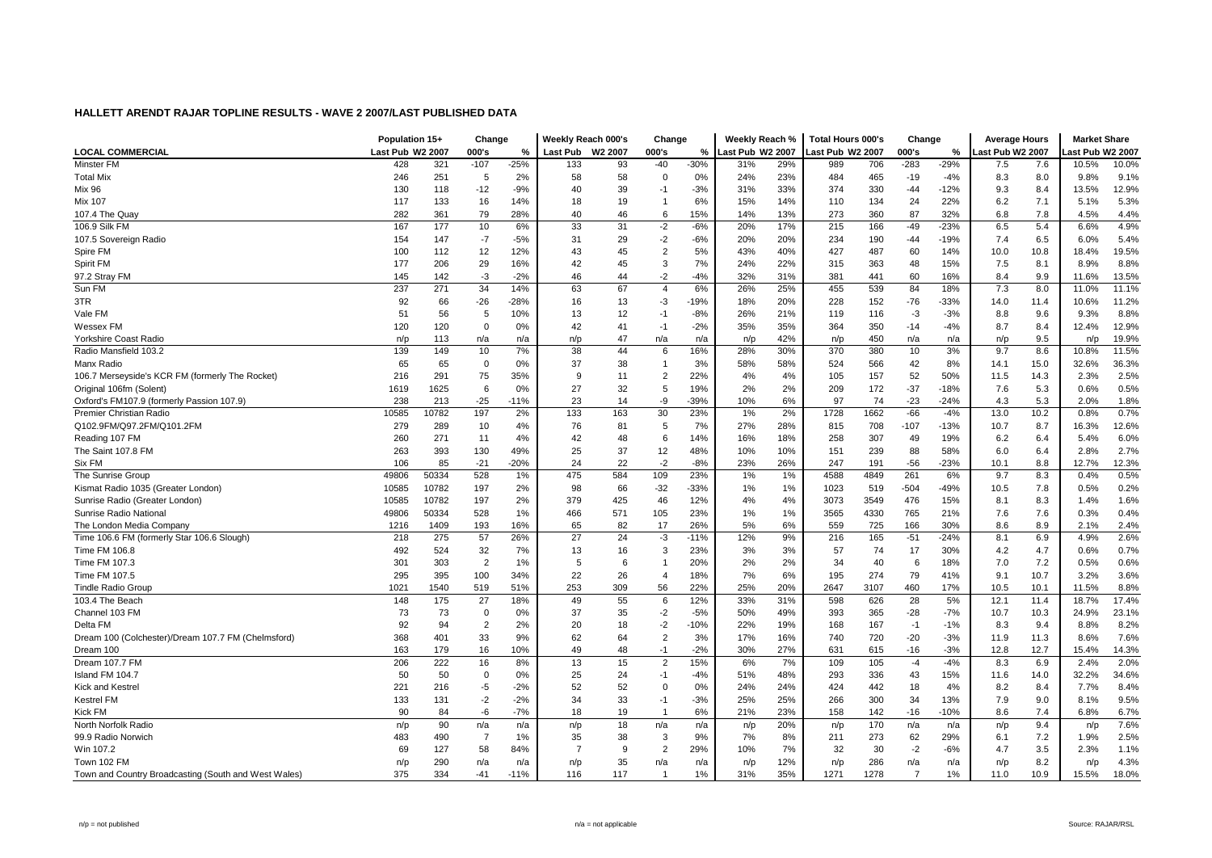|                                                      | Population 15+   |       | Change         |        | Weekly Reach 000's |     | Change         |        | Weekly Reach %   |     | <b>Total Hours 000's</b> |      | Change         |        | <b>Average Hours</b> |      | <b>Market Share</b> |       |
|------------------------------------------------------|------------------|-------|----------------|--------|--------------------|-----|----------------|--------|------------------|-----|--------------------------|------|----------------|--------|----------------------|------|---------------------|-------|
| <b>LOCAL COMMERCIAL</b>                              | Last Pub W2 2007 |       | 000's          | %      | Last Pub W2 2007   |     | 000's          | %      | Last Pub W2 2007 |     | ast Pub W2 2007          |      | 000's          | %      | Last Pub W2 2007     |      | ast Pub W2 2007     |       |
| Minster FM                                           | 428              | 321   | $-107$         | $-25%$ | 133                | 93  | $-40$          | $-30%$ | 31%              | 29% | 989                      | 706  | $-283$         | $-29%$ | 7.5                  | 7.6  | 10.5%               | 10.0% |
| <b>Total Mix</b>                                     | 246              | 251   | 5              | 2%     | 58                 | 58  | $\mathbf 0$    | 0%     | 24%              | 23% | 484                      | 465  | $-19$          | -4%    | 8.3                  | 8.0  | 9.8%                | 9.1%  |
| <b>Mix 96</b>                                        | 130              | 118   | $-12$          | $-9%$  | 40                 | 39  | $-1$           | $-3%$  | 31%              | 33% | 374                      | 330  | $-44$          | $-12%$ | 9.3                  | 8.4  | 13.5%               | 12.9% |
| <b>Mix 107</b>                                       | 117              | 133   | 16             | 14%    | 18                 | 19  | -1             | 6%     | 15%              | 14% | 110                      | 134  | 24             | 22%    | 6.2                  | 7.1  | 5.1%                | 5.3%  |
| 107.4 The Quay                                       | 282              | 361   | 79             | 28%    | 40                 | 46  | 6              | 15%    | 14%              | 13% | 273                      | 360  | 87             | 32%    | 6.8                  | 7.8  | 4.5%                | 4.4%  |
| 106.9 Silk FM                                        | 167              | 177   | 10             | 6%     | 33                 | 31  | $-2$           | $-6%$  | 20%              | 17% | 215                      | 166  | $-49$          | $-23%$ | 6.5                  | 5.4  | 6.6%                | 4.9%  |
| 107.5 Sovereign Radio                                | 154              | 147   | $-7$           | $-5%$  | 31                 | 29  | -2             | $-6%$  | 20%              | 20% | 234                      | 190  | $-44$          | $-19%$ | 7.4                  | 6.5  | 6.0%                | 5.4%  |
| Spire FM                                             | 100              | 112   | 12             | 12%    | 43                 | 45  | $\overline{2}$ | 5%     | 43%              | 40% | 427                      | 487  | 60             | 14%    | 10.0                 | 10.8 | 18.4%               | 19.5% |
| Spirit FM                                            | 177              | 206   | 29             | 16%    | 42                 | 45  | 3              | 7%     | 24%              | 22% | 315                      | 363  | 48             | 15%    | 7.5                  | 8.1  | 8.9%                | 8.8%  |
| 97.2 Stray FM                                        | 145              | 142   | $-3$           | $-2%$  | 46                 | 44  | -2             | $-4%$  | 32%              | 31% | 381                      | 441  | 60             | 16%    | 8.4                  | 9.9  | 11.6%               | 13.5% |
| Sun FM                                               | 237              | 271   | 34             | 14%    | 63                 | 67  | $\overline{4}$ | 6%     | 26%              | 25% | 455                      | 539  | 84             | 18%    | 7.3                  | 8.0  | 11.0%               | 11.1% |
| 3TR                                                  | 92               | 66    | $-26$          | $-28%$ | 16                 | 13  | -3             | $-19%$ | 18%              | 20% | 228                      | 152  | $-76$          | $-33%$ | 14.0                 | 11.4 | 10.6%               | 11.2% |
| Vale FM                                              | 51               | 56    | 5              | 10%    | 13                 | 12  | $-1$           | $-8%$  | 26%              | 21% | 119                      | 116  | $-3$           | $-3%$  | 8.8                  | 9.6  | 9.3%                | 8.8%  |
| Wessex FM                                            | 120              | 120   | $\Omega$       | 0%     | 42                 | 41  | $-1$           | $-2%$  | 35%              | 35% | 364                      | 350  | $-14$          | $-4%$  | 8.7                  | 8.4  | 12.4%               | 12.9% |
| Yorkshire Coast Radio                                | n/p              | 113   | n/a            | n/a    | n/p                | 47  | n/a            | n/a    | n/p              | 42% | n/p                      | 450  | n/a            | n/a    | n/p                  | 9.5  | n/p                 | 19.9% |
| Radio Mansfield 103.2                                | 139              | 149   | 10             | 7%     | 38                 | 44  | 6              | 16%    | 28%              | 30% | 370                      | 380  | 10             | 3%     | 9.7                  | 8.6  | 10.8%               | 11.5% |
| Manx Radio                                           | 65               | 65    | 0              | 0%     | 37                 | 38  |                | 3%     | 58%              | 58% | 524                      | 566  | 42             | 8%     | 14.1                 | 15.0 | 32.6%               | 36.3% |
| 106.7 Merseyside's KCR FM (formerly The Rocket)      | 216              | 291   | 75             | 35%    | -9                 | 11  | $\overline{2}$ | 22%    | 4%               | 4%  | 105                      | 157  | 52             | 50%    | 11.5                 | 14.3 | 2.3%                | 2.5%  |
| Original 106fm (Solent)                              | 1619             | 1625  | 6              | 0%     | 27                 | 32  | 5              | 19%    | 2%               | 2%  | 209                      | 172  | $-37$          | $-18%$ | 7.6                  | 5.3  | 0.6%                | 0.5%  |
| Oxford's FM107.9 (formerly Passion 107.9)            | 238              | 213   | $-25$          | $-11%$ | 23                 | 14  | -9             | $-39%$ | 10%              | 6%  | 97                       | 74   | $-23$          | $-24%$ | 4.3                  | 5.3  | 2.0%                | 1.8%  |
| Premier Christian Radio                              | 10585            | 10782 | 197            | 2%     | 133                | 163 | 30             | 23%    | 1%               | 2%  | 1728                     | 1662 | $-66$          | $-4%$  | 13.0                 | 10.2 | 0.8%                | 0.7%  |
| Q102.9FM/Q97.2FM/Q101.2FM                            | 279              | 289   | 10             | 4%     | 76                 | 81  | 5              | 7%     | 27%              | 28% | 815                      | 708  | $-107$         | $-13%$ | 10.7                 | 8.7  | 16.3%               | 12.6% |
| Reading 107 FM                                       | 260              | 271   | 11             | 4%     | 42                 | 48  | 6              | 14%    | 16%              | 18% | 258                      | 307  | 49             | 19%    | 6.2                  | 6.4  | 5.4%                | 6.0%  |
| The Saint 107.8 FM                                   | 263              | 393   | 130            | 49%    | 25                 | 37  | 12             | 48%    | 10%              | 10% | 151                      | 239  | 88             | 58%    | 6.0                  | 6.4  | 2.8%                | 2.7%  |
| Six FM                                               | 106              | 85    | $-21$          | $-20%$ | 24                 | 22  | $-2$           | $-8%$  | 23%              | 26% | 247                      | 191  | -56            | -23%   | 10.1                 | 8.8  | 12.7%               | 12.3% |
| The Sunrise Group                                    | 49806            | 50334 | 528            | 1%     | 475                | 584 | 109            | 23%    | 1%               | 1%  | 4588                     | 4849 | 261            | 6%     | 9.7                  | 8.3  | 0.4%                | 0.5%  |
| Kismat Radio 1035 (Greater London)                   | 10585            | 10782 | 197            | 2%     | 98                 | 66  | $-32$          | -33%   | 1%               | 1%  | 1023                     | 519  | $-504$         | -49%   | 10.5                 | 7.8  | 0.5%                | 0.2%  |
| Sunrise Radio (Greater London)                       | 10585            | 10782 | 197            | 2%     | 379                | 425 | 46             | 12%    | 4%               | 4%  | 3073                     | 3549 | 476            | 15%    | 8.1                  | 8.3  | 1.4%                | 1.6%  |
| <b>Sunrise Radio National</b>                        | 49806            | 50334 | 528            | 1%     | 466                | 571 | 105            | 23%    | 1%               | 1%  | 3565                     | 4330 | 765            | 21%    | 7.6                  | 7.6  | 0.3%                | 0.4%  |
| The London Media Company                             | 1216             | 1409  | 193            | 16%    | 65                 | 82  | 17             | 26%    | 5%               | 6%  | 559                      | 725  | 166            | 30%    | 8.6                  | 8.9  | 2.1%                | 2.4%  |
| Time 106.6 FM (formerly Star 106.6 Slough)           | 218              | 275   | 57             | 26%    | 27                 | 24  | $-3$           | $-11%$ | 12%              | 9%  | 216                      | 165  | $-51$          | $-24%$ | 8.1                  | 6.9  | 4.9%                | 2.6%  |
| Time FM 106.8                                        | 492              | 524   | 32             | 7%     | 13                 | 16  | 3              | 23%    | 3%               | 3%  | 57                       | 74   | 17             | 30%    | 4.2                  | 4.7  | 0.6%                | 0.7%  |
| Time FM 107.3                                        | 301              | 303   | $\overline{2}$ | 1%     | 5                  | 6   |                | 20%    | 2%               | 2%  | 34                       | 40   | 6              | 18%    | 7.0                  | 7.2  | 0.5%                | 0.6%  |
| Time FM 107.5                                        | 295              | 395   | 100            | 34%    | 22                 | 26  | $\overline{4}$ | 18%    | 7%               | 6%  | 195                      | 274  | 79             | 41%    | 9.1                  | 10.7 | 3.2%                | 3.6%  |
| <b>Tindle Radio Group</b>                            | 1021             | 1540  | 519            | 51%    | 253                | 309 | 56             | 22%    | 25%              | 20% | 2647                     | 3107 | 460            | 17%    | 10.5                 | 10.1 | 11.5%               | 8.8%  |
| 103.4 The Beach                                      | 148              | 175   | 27             | 18%    | 49                 | 55  | 6              | 12%    | 33%              | 31% | 598                      | 626  | 28             | 5%     | 12.1                 | 11.4 | 18.7%               | 17.4% |
| Channel 103 FM                                       | 73               | 73    | $\Omega$       | 0%     | 37                 | 35  | $-2$           | $-5%$  | 50%              | 49% | 393                      | 365  | $-28$          | $-7%$  | 10.7                 | 10.3 | 24.9%               | 23.1% |
| Delta FM                                             | 92               | 94    | $\overline{2}$ | 2%     | 20                 | 18  | $-2$           | $-10%$ | 22%              | 19% | 168                      | 167  | $-1$           | $-1%$  | 8.3                  | 9.4  | 8.8%                | 8.2%  |
| Dream 100 (Colchester)/Dream 107.7 FM (Chelmsford)   | 368              | 401   | 33             | 9%     | 62                 | 64  | $\overline{2}$ | 3%     | 17%              | 16% | 740                      | 720  | $-20$          | $-3%$  | 11.9                 | 11.3 | 8.6%                | 7.6%  |
| Dream 100                                            | 163              | 179   | 16             | 10%    | 49                 | 48  | $-1$           | $-2%$  | 30%              | 27% | 631                      | 615  | $-16$          | $-3%$  | 12.8                 | 12.7 | 15.4%               | 14.3% |
| Dream 107.7 FM                                       | 206              | 222   | 16             | 8%     | 13                 | 15  | $\overline{2}$ | 15%    | 6%               | 7%  | 109                      | 105  | $-4$           | $-4%$  | 8.3                  | 6.9  | 2.4%                | 2.0%  |
| Island FM 104.7                                      | 50               | 50    | $\overline{0}$ | 0%     | 25                 | 24  | $-1$           | $-4%$  | 51%              | 48% | 293                      | 336  | 43             | 15%    | 11.6                 | 14.0 | 32.2%               | 34.6% |
| Kick and Kestre                                      | 221              | 216   | -5             | $-2%$  | 52                 | 52  | $\mathbf 0$    | 0%     | 24%              | 24% | 424                      | 442  | 18             | 4%     | 8.2                  | 8.4  | 7.7%                | 8.4%  |
| <b>Kestrel FM</b>                                    | 133              | 131   | $-2$           | $-2%$  | 34                 | 33  | $-1$           | $-3%$  | 25%              | 25% | 266                      | 300  | 34             | 13%    | 7.9                  | 9.0  | 8.1%                | 9.5%  |
| Kick FM                                              | 90               | 84    | -6             | $-7%$  | 18                 | 19  |                | 6%     | 21%              | 23% | 158                      | 142  | $-16$          | $-10%$ | 8.6                  | 7.4  | 6.8%                | 6.7%  |
| North Norfolk Radio                                  | n/p              | 90    | n/a            | n/a    | n/p                | 18  | n/a            | n/a    | n/p              | 20% | n/p                      | 170  | n/a            | n/a    | n/p                  | 9.4  | n/p                 | 7.6%  |
| 99.9 Radio Norwich                                   | 483              | 490   | $\overline{7}$ | 1%     | 35                 | 38  | 3              | 9%     | 7%               | 8%  | 211                      | 273  | 62             | 29%    | 6.1                  | 7.2  | 1.9%                | 2.5%  |
| Win 107.2                                            | 69               | 127   | 58             | 84%    | $\overline{7}$     | 9   | $\overline{2}$ | 29%    | 10%              | 7%  | 32                       | 30   | $-2$           | $-6%$  | 4.7                  | 3.5  | 2.3%                | 1.1%  |
| Town 102 FM                                          | n/p              | 290   | n/a            | n/a    | n/p                | 35  | n/a            | n/a    | n/p              | 12% | n/p                      | 286  | n/a            | n/a    | n/p                  | 8.2  | n/p                 | 4.3%  |
| Town and Country Broadcasting (South and West Wales) | 375              | 334   | $-41$          | $-11%$ | 116                | 117 | - 1            | 1%     | 31%              | 35% | 1271                     | 1278 | $\overline{7}$ | 1%     | 11.0                 | 10.9 | 15.5%               | 18.0% |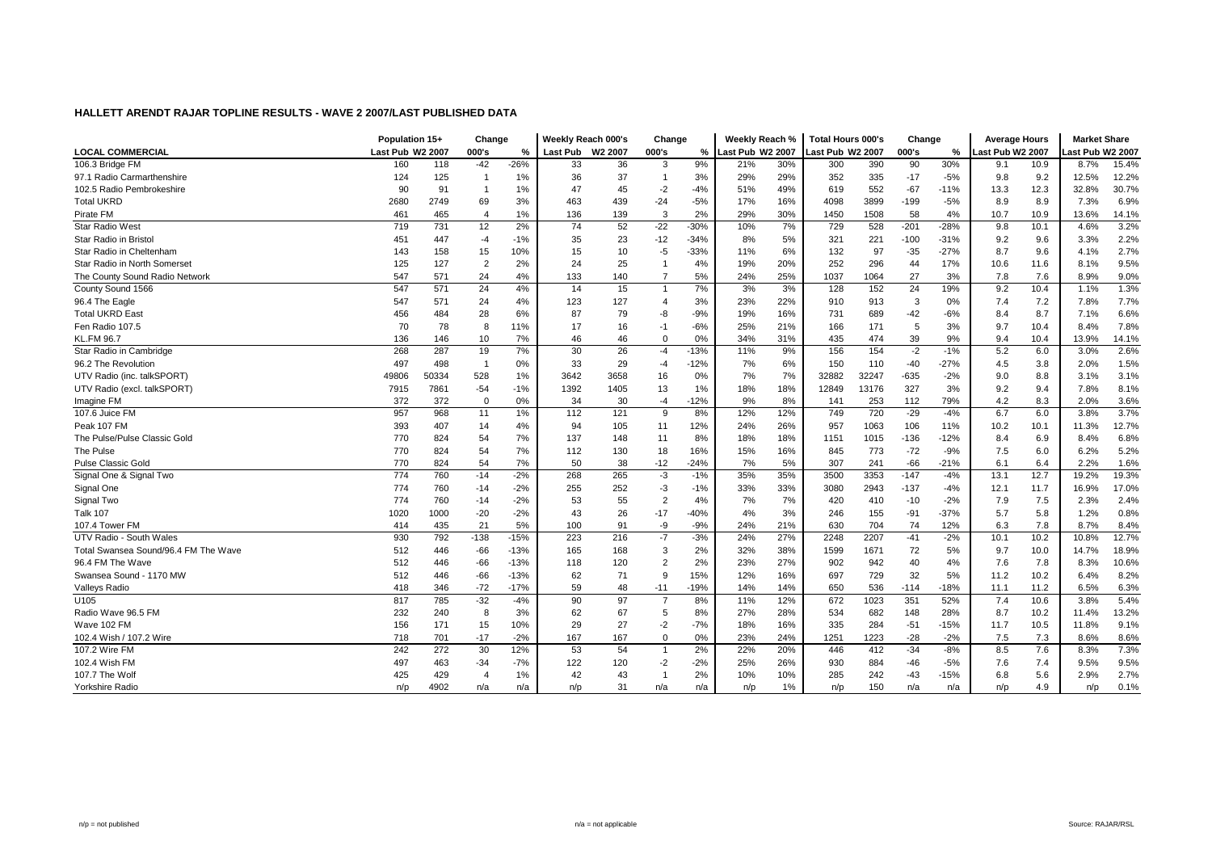|                                      | Population 15+   |       | Change         |        | Weekly Reach 000's |      | Change                |        | Weekly Reach %   |     | <b>Total Hours 000's</b> |       | Change |        | <b>Average Hours</b> |      | <b>Market Share</b> |       |
|--------------------------------------|------------------|-------|----------------|--------|--------------------|------|-----------------------|--------|------------------|-----|--------------------------|-------|--------|--------|----------------------|------|---------------------|-------|
| <b>LOCAL COMMERCIAL</b>              | Last Pub W2 2007 |       | 000's          | %      | Last Pub W2 2007   |      | 000's                 | %      | ast Pub W2 2007. |     | Last Pub W2 2007         |       | 000's  | %      | Last Pub W2 2007     |      | ast Pub W2 2007.    |       |
| 106.3 Bridge FM                      | 160              | 118   | $-42$          | $-26%$ | 33                 | 36   | 3                     | 9%     | 21%              | 30% | 300                      | 390   | 90     | 30%    | 9.1                  | 10.9 | 8.7%                | 15.4% |
| 97.1 Radio Carmarthenshire           | 124              | 125   | - 1            | 1%     | 36                 | 37   | $\mathbf{1}$          | 3%     | 29%              | 29% | 352                      | 335   | $-17$  | $-5%$  | 9.8                  | 9.2  | 12.5%               | 12.2% |
| 102.5 Radio Pembrokeshire            | 90               | 91    | $\overline{1}$ | 1%     | 47                 | 45   | $-2$                  | $-4%$  | 51%              | 49% | 619                      | 552   | $-67$  | $-11%$ | 13.3                 | 12.3 | 32.8%               | 30.7% |
| <b>Total UKRD</b>                    | 2680             | 2749  | 69             | 3%     | 463                | 439  | $-24$                 | $-5%$  | 17%              | 16% | 4098                     | 3899  | $-199$ | $-5%$  | 8.9                  | 8.9  | 7.3%                | 6.9%  |
| Pirate FM                            | 461              | 465   | $\overline{4}$ | 1%     | 136                | 139  | 3                     | 2%     | 29%              | 30% | 1450                     | 1508  | 58     | 4%     | 10.7                 | 10.9 | 13.6%               | 14.1% |
| <b>Star Radio West</b>               | 719              | 731   | 12             | 2%     | 74                 | 52   | $-22$                 | $-30%$ | 10%              | 7%  | 729                      | 528   | $-201$ | $-28%$ | 9.8                  | 10.1 | 4.6%                | 3.2%  |
| Star Radio in Bristol                | 451              | 447   | $-4$           | $-1%$  | 35                 | 23   | $-12$                 | $-34%$ | 8%               | 5%  | 321                      | 221   | $-100$ | $-31%$ | 9.2                  | 9.6  | 3.3%                | 2.2%  |
| Star Radio in Cheltenham             | 143              | 158   | 15             | 10%    | 15                 | 10   | $-5$                  | $-33%$ | 11%              | 6%  | 132                      | 97    | $-35$  | $-27%$ | 8.7                  | 9.6  | 4.1%                | 2.7%  |
| Star Radio in North Somerset         | 125              | 127   | $\overline{2}$ | 2%     | 24                 | 25   | $\overline{1}$        | 4%     | 19%              | 20% | 252                      | 296   | 44     | 17%    | 10.6                 | 11.6 | 8.1%                | 9.5%  |
| The County Sound Radio Network       | 547              | 571   | 24             | 4%     | 133                | 140  |                       | 5%     | 24%              | 25% | 1037                     | 1064  | 27     | 3%     | 7.8                  | 7.6  | 8.9%                | 9.0%  |
| County Sound 1566                    | 547              | 571   | 24             | 4%     | 14                 | 15   | $\overline{1}$        | 7%     | 3%               | 3%  | 128                      | 152   | 24     | 19%    | 9.2                  | 10.4 | 1.1%                | 1.3%  |
| 96.4 The Eagle                       | 547              | 571   | 24             | 4%     | 123                | 127  | $\boldsymbol{\Delta}$ | 3%     | 23%              | 22% | 910                      | 913   | 3      | 0%     | 7.4                  | 7.2  | 7.8%                | 7.7%  |
| <b>Total UKRD East</b>               | 456              | 484   | 28             | 6%     | 87                 | 79   | -8                    | $-9%$  | 19%              | 16% | 731                      | 689   | $-42$  | $-6%$  | 8.4                  | 8.7  | 7.1%                | 6.6%  |
| Fen Radio 107.5                      | 70               | 78    | 8              | 11%    | 17                 | 16   | $-1$                  | $-6%$  | 25%              | 21% | 166                      | 171   | 5      | 3%     | 9.7                  | 10.4 | 8.4%                | 7.8%  |
| <b>KL.FM 96.7</b>                    | 136              | 146   | 10             | 7%     | 46                 | 46   | $\Omega$              | 0%     | 34%              | 31% | 435                      | 474   | 39     | 9%     | 9.4                  | 10.4 | 13.9%               | 14.1% |
| Star Radio in Cambridge              | 268              | 287   | 19             | 7%     | 30                 | 26   | $-4$                  | $-13%$ | 11%              | 9%  | 156                      | 154   | $-2$   | $-1%$  | 5.2                  | 6.0  | 3.0%                | 2.6%  |
| 96.2 The Revolution                  | 497              | 498   | $\overline{1}$ | 0%     | 33                 | 29   | $-4$                  | $-12%$ | 7%               | 6%  | 150                      | 110   | $-40$  | $-27%$ | 4.5                  | 3.8  | 2.0%                | 1.5%  |
| UTV Radio (inc. talkSPORT            | 49806            | 50334 | 528            | 1%     | 3642               | 3658 | 16                    | 0%     | 7%               | 7%  | 32882                    | 32247 | $-635$ | $-2%$  | 9.0                  | 8.8  | 3.1%                | 3.1%  |
| UTV Radio (excl. talkSPORT)          | 7915             | 7861  | $-54$          | $-1%$  | 1392               | 1405 | 13                    | 1%     | 18%              | 18% | 12849                    | 13176 | 327    | 3%     | 9.2                  | 9.4  | 7.8%                | 8.1%  |
| Imagine FM                           | 372              | 372   | $\mathbf 0$    | 0%     | 34                 | 30   | -4                    | $-12%$ | 9%               | 8%  | 141                      | 253   | 112    | 79%    | 4.2                  | 8.3  | 2.0%                | 3.6%  |
| 107.6 Juice FM                       | 957              | 968   | 11             | 1%     | 112                | 121  | 9                     | 8%     | 12%              | 12% | 749                      | 720   | $-29$  | $-4%$  | 6.7                  | 6.0  | 3.8%                | 3.7%  |
| Peak 107 FM                          | 393              | 407   | 14             | 4%     | 94                 | 105  | 11                    | 12%    | 24%              | 26% | 957                      | 1063  | 106    | 11%    | 10.2                 | 10.1 | 11.3%               | 12.7% |
| The Pulse/Pulse Classic Gold         | 770              | 824   | 54             | 7%     | 137                | 148  | 11                    | 8%     | 18%              | 18% | 1151                     | 1015  | $-136$ | $-12%$ | 8.4                  | 6.9  | 8.4%                | 6.8%  |
| The Pulse                            | 770              | 824   | 54             | 7%     | 112                | 130  | 18                    | 16%    | 15%              | 16% | 845                      | 773   | $-72$  | $-9%$  | 7.5                  | 6.0  | 6.2%                | 5.2%  |
| <b>Pulse Classic Gold</b>            | 770              | 824   | 54             | 7%     | 50                 | 38   | $-12$                 | $-24%$ | 7%               | 5%  | 307                      | 241   | $-66$  | $-21%$ | 6.1                  | 6.4  | 2.2%                | 1.6%  |
| Signal One & Signal Two              | 774              | 760   | $-14$          | $-2%$  | 268                | 265  | $-3$                  | $-1%$  | 35%              | 35% | 3500                     | 3353  | $-147$ | $-4%$  | 13.1                 | 12.7 | 19.2%               | 19.3% |
| Signal One                           | 774              | 760   | $-14$          | $-2%$  | 255                | 252  | $-3$                  | $-1%$  | 33%              | 33% | 3080                     | 2943  | $-137$ | $-4%$  | 12.1                 | 11.7 | 16.9%               | 17.0% |
| Signal Two                           | 774              | 760   | $-14$          | $-2%$  | 53                 | 55   | $\overline{2}$        | 4%     | 7%               | 7%  | 420                      | 410   | $-10$  | $-2%$  | 7.9                  | 7.5  | 2.3%                | 2.4%  |
| <b>Talk 107</b>                      | 1020             | 1000  | $-20$          | $-2%$  | 43                 | 26   | $-17$                 | $-40%$ | 4%               | 3%  | 246                      | 155   | $-91$  | $-37%$ | 5.7                  | 5.8  | 1.2%                | 0.8%  |
| 107.4 Tower FM                       | 414              | 435   | 21             | 5%     | 100                | 91   | -9                    | $-9%$  | 24%              | 21% | 630                      | 704   | 74     | 12%    | 6.3                  | 7.8  | 8.7%                | 8.4%  |
| UTV Radio - South Wales              | 930              | 792   | $-138$         | $-15%$ | 223                | 216  | $-7$                  | $-3%$  | 24%              | 27% | 2248                     | 2207  | $-41$  | $-2%$  | 10.1                 | 10.2 | 10.8%               | 12.7% |
| Total Swansea Sound/96.4 FM The Wave | 512              | 446   | $-66$          | $-13%$ | 165                | 168  | 3                     | 2%     | 32%              | 38% | 1599                     | 1671  | 72     | 5%     | 9.7                  | 10.0 | 14.7%               | 18.9% |
| 96.4 FM The Wave                     | 512              | 446   | $-66$          | $-13%$ | 118                | 120  |                       | 2%     | 23%              | 27% | 902                      | 942   | 40     | 4%     | 7.6                  | 7.8  | 8.3%                | 10.6% |
| Swansea Sound - 1170 MW              | 512              | 446   | $-66$          | $-13%$ | 62                 | 71   | <b>q</b>              | 15%    | 12%              | 16% | 697                      | 729   | 32     | 5%     | 11.2                 | 10.2 | 6.4%                | 8.2%  |
| <b>Valleys Radio</b>                 | 418              | 346   | $-72$          | $-17%$ | 59                 | 48   | $-11$                 | $-19%$ | 14%              | 14% | 650                      | 536   | $-114$ | $-18%$ | 11.1                 | 11.2 | 6.5%                | 6.3%  |
| U105                                 | 817              | 785   | $-32$          | $-4%$  | 90                 | 97   | $\overline{7}$        | 8%     | 11%              | 12% | 672                      | 1023  | 351    | 52%    | 7.4                  | 10.6 | 3.8%                | 5.4%  |
| Radio Wave 96.5 FM                   | 232              | 240   | 8              | 3%     | 62                 | 67   | 5                     | 8%     | 27%              | 28% | 534                      | 682   | 148    | 28%    | 8.7                  | 10.2 | 11.4%               | 13.2% |
| Wave 102 FM                          | 156              | 171   | 15             | 10%    | 29                 | 27   | -2                    | $-7%$  | 18%              | 16% | 335                      | 284   | $-51$  | $-15%$ | 11.7                 | 10.5 | 11.8%               | 9.1%  |
| 102.4 Wish / 107.2 Wire              | 718              | 701   | $-17$          | $-2%$  | 167                | 167  | $\Omega$              | 0%     | 23%              | 24% | 1251                     | 1223  | $-28$  | $-2%$  | 7.5                  | 7.3  | 8.6%                | 8.6%  |
| 107.2 Wire FM                        | 242              | 272   | 30             | 12%    | 53                 | 54   | $\overline{1}$        | 2%     | 22%              | 20% | 446                      | 412   | $-34$  | $-8%$  | 8.5                  | 7.6  | 8.3%                | 7.3%  |
| 102.4 Wish FM                        | 497              | 463   | $-34$          | $-7%$  | 122                | 120  | $-2$                  | $-2%$  | 25%              | 26% | 930                      | 884   | $-46$  | $-5%$  | 7.6                  | 7.4  | 9.5%                | 9.5%  |
| 107.7 The Wolf                       | 425              | 429   | $\overline{4}$ | 1%     | 42                 | 43   | $\mathbf{1}$          | 2%     | 10%              | 10% | 285                      | 242   | $-43$  | $-15%$ | 6.8                  | 5.6  | 2.9%                | 2.7%  |
| Yorkshire Radio                      | n/p              | 4902  | n/a            | n/a    | n/p                | 31   | n/a                   | n/a    | n/p              | 1%  | n/p                      | 150   | n/a    | n/a    | n/p                  | 4.9  | n/p                 | 0.1%  |